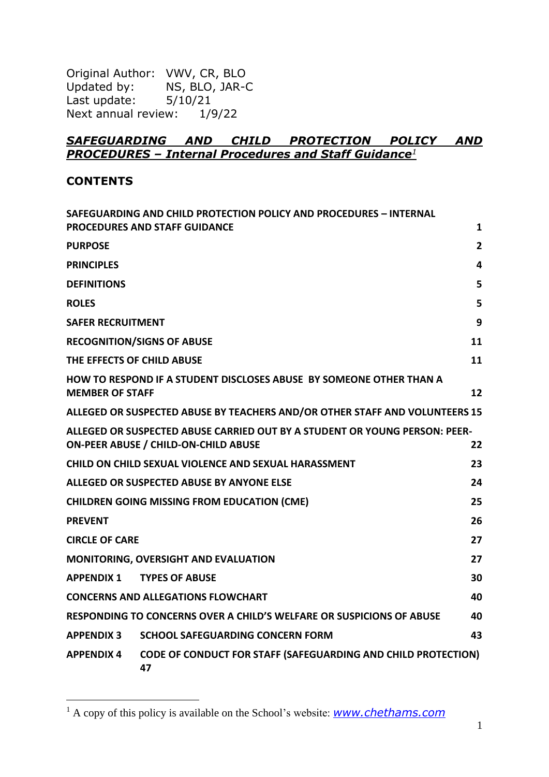Original Author: VWV, CR, BLO<br>Updated by: NS, BLO, JAR-0 NS, BLO, JAR-C Last update: 5/10/21 Next annual review: 1/9/22

## *SAFEGUARDING AND CHILD PROTECTION POLICY AND PROCEDURES – Internal Procedures and Staff Guidance<sup>1</sup>*

#### **CONTENTS**

|                          | SAFEGUARDING AND CHILD PROTECTION POLICY AND PROCEDURES - INTERNAL                                                        |                |
|--------------------------|---------------------------------------------------------------------------------------------------------------------------|----------------|
|                          | <b>PROCEDURES AND STAFF GUIDANCE</b>                                                                                      | $\mathbf{1}$   |
| <b>PURPOSE</b>           |                                                                                                                           | $\overline{2}$ |
| <b>PRINCIPLES</b>        |                                                                                                                           | 4              |
| <b>DEFINITIONS</b>       |                                                                                                                           | 5              |
| <b>ROLES</b>             |                                                                                                                           | 5              |
| <b>SAFER RECRUITMENT</b> |                                                                                                                           | 9              |
|                          | <b>RECOGNITION/SIGNS OF ABUSE</b>                                                                                         | 11             |
|                          | THE EFFECTS OF CHILD ABUSE                                                                                                | 11             |
| <b>MEMBER OF STAFF</b>   | HOW TO RESPOND IF A STUDENT DISCLOSES ABUSE BY SOMEONE OTHER THAN A                                                       | 12             |
|                          | ALLEGED OR SUSPECTED ABUSE BY TEACHERS AND/OR OTHER STAFF AND VOLUNTEERS 15                                               |                |
|                          | ALLEGED OR SUSPECTED ABUSE CARRIED OUT BY A STUDENT OR YOUNG PERSON: PEER-<br><b>ON-PEER ABUSE / CHILD-ON-CHILD ABUSE</b> | 22             |
|                          | CHILD ON CHILD SEXUAL VIOLENCE AND SEXUAL HARASSMENT                                                                      | 23             |
|                          | ALLEGED OR SUSPECTED ABUSE BY ANYONE ELSE                                                                                 | 24             |
|                          | <b>CHILDREN GOING MISSING FROM EDUCATION (CME)</b>                                                                        | 25             |
| <b>PREVENT</b>           |                                                                                                                           | 26             |
| <b>CIRCLE OF CARE</b>    |                                                                                                                           | 27             |
|                          | <b>MONITORING, OVERSIGHT AND EVALUATION</b>                                                                               | 27             |
| <b>APPENDIX 1</b>        | <b>TYPES OF ABUSE</b>                                                                                                     | 30             |
|                          | <b>CONCERNS AND ALLEGATIONS FLOWCHART</b>                                                                                 | 40             |
|                          | <b>RESPONDING TO CONCERNS OVER A CHILD'S WELFARE OR SUSPICIONS OF ABUSE</b>                                               | 40             |
| <b>APPENDIX 3</b>        | <b>SCHOOL SAFEGUARDING CONCERN FORM</b>                                                                                   | 43             |
| <b>APPENDIX 4</b>        | <b>CODE OF CONDUCT FOR STAFF (SAFEGUARDING AND CHILD PROTECTION)</b><br>47                                                |                |

<sup>1</sup> A copy of this policy is available on the School's website: *[www.chethams.com](http://www.chethams.com/)*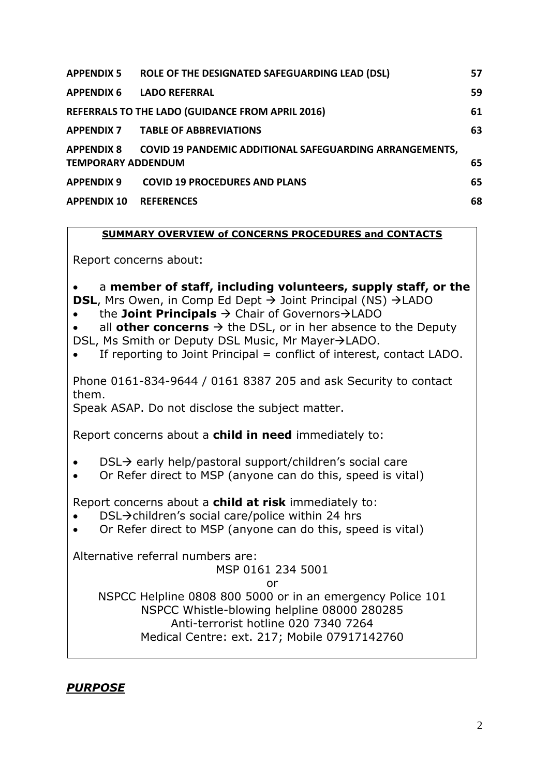| <b>APPENDIX 5</b>         | ROLE OF THE DESIGNATED SAFEGUARDING LEAD (DSL)                     | 57 |
|---------------------------|--------------------------------------------------------------------|----|
| <b>APPENDIX 6</b>         | <b>LADO REFERRAL</b>                                               | 59 |
|                           | REFERRALS TO THE LADO (GUIDANCE FROM APRIL 2016)                   | 61 |
|                           | <b>APPENDIX 7 TABLE OF ABBREVIATIONS</b>                           | 63 |
| <b>TEMPORARY ADDENDUM</b> | APPENDIX 8 COVID 19 PANDEMIC ADDITIONAL SAFEGUARDING ARRANGEMENTS, | 65 |
| <b>APPENDIX 9</b>         | <b>COVID 19 PROCEDURES AND PLANS</b>                               | 65 |
| <b>APPENDIX 10</b>        | <b>REFERENCES</b>                                                  | 68 |

#### **SUMMARY OVERVIEW of CONCERNS PROCEDURES and CONTACTS**

Report concerns about:

• a **member of staff, including volunteers, supply staff, or the DSL**, Mrs Owen, in Comp Ed Dept → Joint Principal (NS) →LADO

• the **Joint Principals** → Chair of Governors→LADO

• all **other concerns**  $\rightarrow$  the DSL, or in her absence to the Deputy DSL, Ms Smith or Deputy DSL Music, Mr Mayer→LADO.

If reporting to Joint Principal = conflict of interest, contact LADO.

Phone 0161-834-9644 / 0161 8387 205 and ask Security to contact them.

Speak ASAP. Do not disclose the subject matter.

Report concerns about a **child in need** immediately to:

- DSL→ early help/pastoral support/children's social care
- Or Refer direct to MSP (anyone can do this, speed is vital)

Report concerns about a **child at risk** immediately to:

- DSL→children's social care/police within 24 hrs
- Or Refer direct to MSP (anyone can do this, speed is vital)

Alternative referral numbers are:

#### MSP 0161 234 5001

or

NSPCC Helpline 0808 800 5000 or in an emergency Police 101 NSPCC Whistle-blowing helpline 08000 280285 Anti-terrorist hotline 020 7340 7264 Medical Centre: ext. 217; Mobile 07917142760

#### *PURPOSE*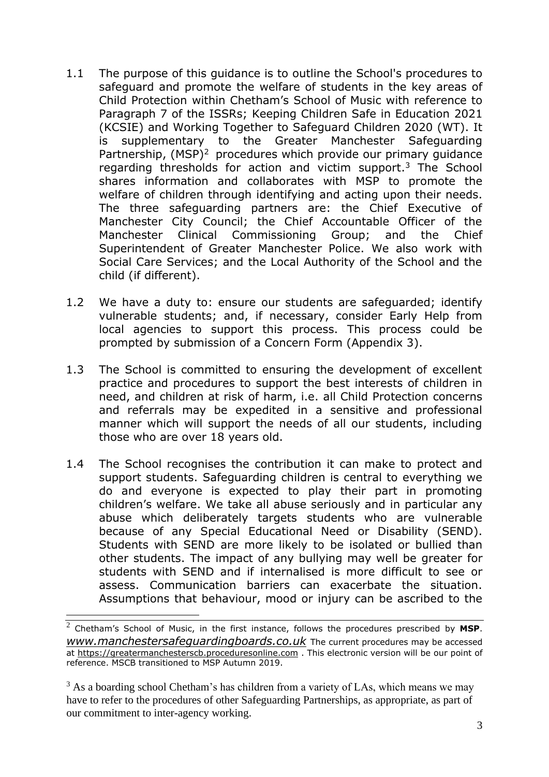- 1.1 The purpose of this guidance is to outline the School's procedures to safeguard and promote the welfare of students in the key areas of Child Protection within Chetham's School of Music with reference to Paragraph 7 of the ISSRs; Keeping Children Safe in Education 2021 (KCSIE) and Working Together to Safeguard Children 2020 (WT). It is supplementary to the Greater Manchester Safeguarding Partnership, (MSP)<sup>2</sup> procedures which provide our primary guidance regarding thresholds for action and victim support.<sup>3</sup> The School shares information and collaborates with MSP to promote the welfare of children through identifying and acting upon their needs. The three safeguarding partners are: the Chief Executive of Manchester City Council; the Chief Accountable Officer of the Manchester Clinical Commissioning Group; and the Chief Superintendent of Greater Manchester Police. We also work with Social Care Services; and the Local Authority of the School and the child (if different).
- 1.2 We have a duty to: ensure our students are safeguarded; identify vulnerable students; and, if necessary, consider Early Help from local agencies to support this process. This process could be prompted by submission of a Concern Form (Appendix 3).
- 1.3 The School is committed to ensuring the development of excellent practice and procedures to support the best interests of children in need, and children at risk of harm, i.e. all Child Protection concerns and referrals may be expedited in a sensitive and professional manner which will support the needs of all our students, including those who are over 18 years old.
- 1.4 The School recognises the contribution it can make to protect and support students. Safeguarding children is central to everything we do and everyone is expected to play their part in promoting children's welfare. We take all abuse seriously and in particular any abuse which deliberately targets students who are vulnerable because of any Special Educational Need or Disability (SEND). Students with SEND are more likely to be isolated or bullied than other students. The impact of any bullying may well be greater for students with SEND and if internalised is more difficult to see or assess. Communication barriers can exacerbate the situation. Assumptions that behaviour, mood or injury can be ascribed to the

<sup>2</sup> Chetham's School of Music, in the first instance, follows the procedures prescribed by **MSP**. *[www.manchestersafeguardingboards.co.uk](http://www.manchestersafeguardingboards.co.uk/)* The current procedures may be accessed at [https://greatermanchesterscb.proceduresonline.com](https://greatermanchesterscb.proceduresonline.com/) . This electronic version will be our point of reference. MSCB transitioned to MSP Autumn 2019.

 $3$  As a boarding school Chetham's has children from a variety of LAs, which means we may have to refer to the procedures of other Safeguarding Partnerships, as appropriate, as part of our commitment to inter-agency working.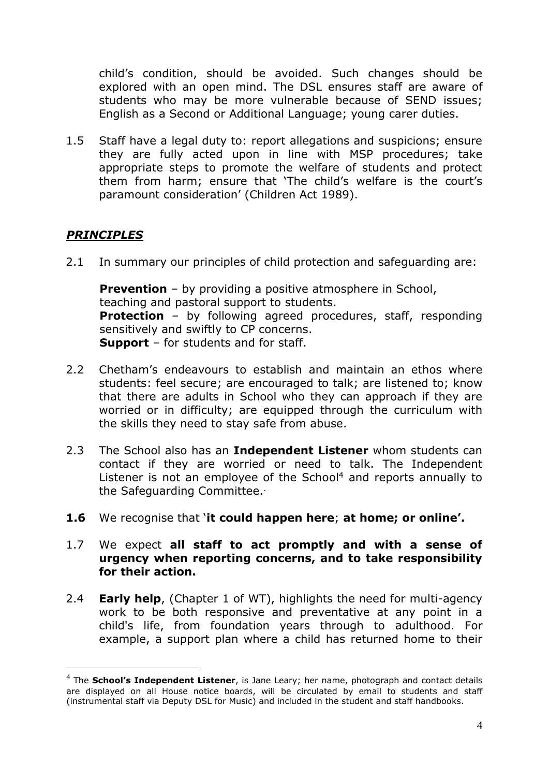child's condition, should be avoided. Such changes should be explored with an open mind. The DSL ensures staff are aware of students who may be more vulnerable because of SEND issues; English as a Second or Additional Language; young carer duties.

1.5 Staff have a legal duty to: report allegations and suspicions; ensure they are fully acted upon in line with MSP procedures; take appropriate steps to promote the welfare of students and protect them from harm; ensure that 'The child's welfare is the court's paramount consideration' (Children Act 1989).

## *PRINCIPLES*

2.1 In summary our principles of child protection and safeguarding are:

**Prevention** – by providing a positive atmosphere in School, teaching and pastoral support to students. **Protection** – by following agreed procedures, staff, responding sensitively and swiftly to CP concerns. **Support** – for students and for staff.

- 2.2 Chetham's endeavours to establish and maintain an ethos where students: feel secure; are encouraged to talk; are listened to; know that there are adults in School who they can approach if they are worried or in difficulty; are equipped through the curriculum with the skills they need to stay safe from abuse.
- 2.3 The School also has an **Independent Listener** whom students can contact if they are worried or need to talk. The Independent Listener is not an employee of the School<sup>4</sup> and reports annually to the Safeguarding Committee..
- **1.6** We recognise that '**it could happen here**; **at home; or online'.**
- 1.7 We expect **all staff to act promptly and with a sense of urgency when reporting concerns, and to take responsibility for their action.**
- 2.4 **Early help**, (Chapter 1 of WT), highlights the need for multi-agency work to be both responsive and preventative at any point in a child's life, from foundation years through to adulthood. For example, a support plan where a child has returned home to their

<sup>4</sup> The **School's Independent Listener**, is Jane Leary; her name, photograph and contact details are displayed on all House notice boards, will be circulated by email to students and staff (instrumental staff via Deputy DSL for Music) and included in the student and staff handbooks.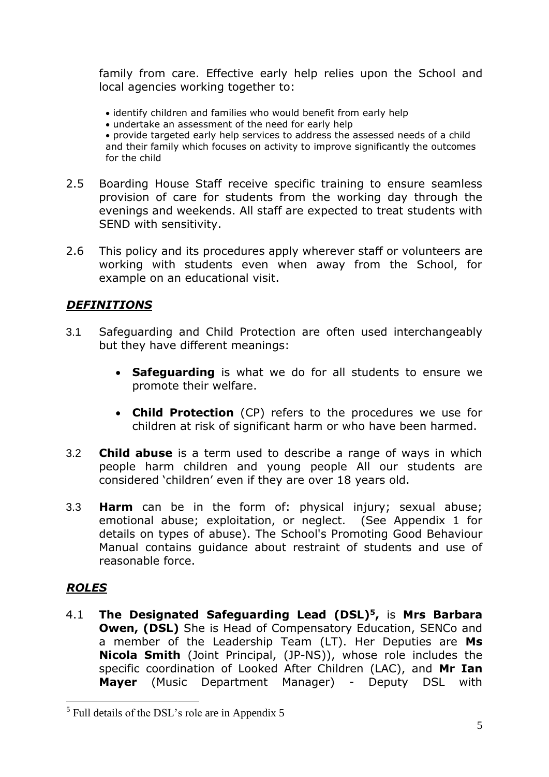family from care. Effective early help relies upon the School and local agencies working together to:

- identify children and families who would benefit from early help
- undertake an assessment of the need for early help

• provide targeted early help services to address the assessed needs of a child and their family which focuses on activity to improve significantly the outcomes for the child

- 2.5 Boarding House Staff receive specific training to ensure seamless provision of care for students from the working day through the evenings and weekends. All staff are expected to treat students with SEND with sensitivity.
- 2.6 This policy and its procedures apply wherever staff or volunteers are working with students even when away from the School, for example on an educational visit.

## *DEFINITIONS*

- 3.1 Safeguarding and Child Protection are often used interchangeably but they have different meanings:
	- **Safeguarding** is what we do for all students to ensure we promote their welfare.
	- **Child Protection** (CP) refers to the procedures we use for children at risk of significant harm or who have been harmed.
- 3.2 **Child abuse** is a term used to describe a range of ways in which people harm children and young people All our students are considered 'children' even if they are over 18 years old.
- 3.3 **Harm** can be in the form of: physical injury; sexual abuse; emotional abuse; exploitation, or neglect. (See Appendix 1 for details on types of abuse). The School's Promoting Good Behaviour Manual contains guidance about restraint of students and use of reasonable force.

## *ROLES*

4.1 **The Designated Safeguarding Lead (DSL)<sup>5</sup>,** is **Mrs Barbara Owen, (DSL)** She is Head of Compensatory Education, SENCo and a member of the Leadership Team (LT). Her Deputies are **Ms Nicola Smith** (Joint Principal, (JP-NS)), whose role includes the specific coordination of Looked After Children (LAC), and **Mr Ian Mayer** (Music Department Manager) - Deputy DSL with

<sup>5</sup> Full details of the DSL's role are in Appendix 5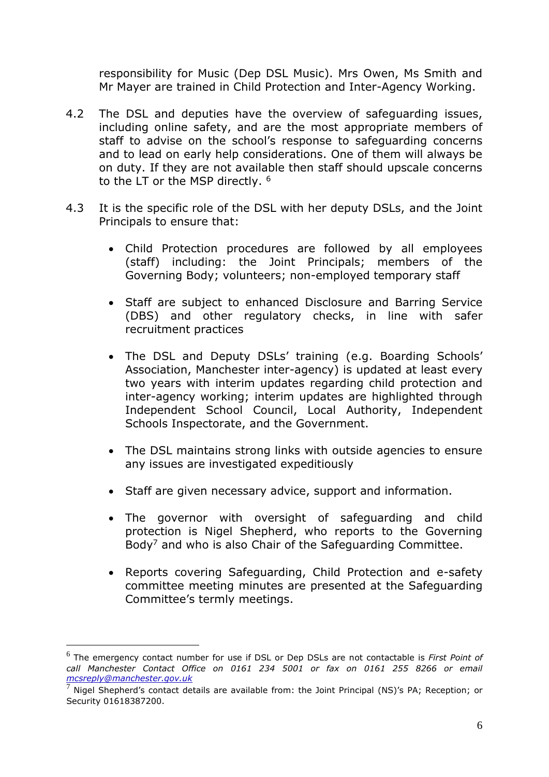responsibility for Music (Dep DSL Music). Mrs Owen, Ms Smith and Mr Mayer are trained in Child Protection and Inter-Agency Working.

- 4.2 The DSL and deputies have the overview of safeguarding issues, including online safety, and are the most appropriate members of staff to advise on the school's response to safeguarding concerns and to lead on early help considerations. One of them will always be on duty. If they are not available then staff should upscale concerns to the LT or the MSP directly. <sup>6</sup>
- 4.3 It is the specific role of the DSL with her deputy DSLs, and the Joint Principals to ensure that:
	- Child Protection procedures are followed by all employees (staff) including: the Joint Principals; members of the Governing Body; volunteers; non-employed temporary staff
	- Staff are subject to enhanced Disclosure and Barring Service (DBS) and other regulatory checks, in line with safer recruitment practices
	- The DSL and Deputy DSLs' training (e.g. Boarding Schools' Association, Manchester inter-agency) is updated at least every two years with interim updates regarding child protection and inter-agency working; interim updates are highlighted through Independent School Council, Local Authority, Independent Schools Inspectorate, and the Government.
	- The DSL maintains strong links with outside agencies to ensure any issues are investigated expeditiously
	- Staff are given necessary advice, support and information.
	- The governor with oversight of safeguarding and child protection is Nigel Shepherd, who reports to the Governing Body<sup>7</sup> and who is also Chair of the Safeguarding Committee.
	- Reports covering Safeguarding, Child Protection and e-safety committee meeting minutes are presented at the Safeguarding Committee's termly meetings.

<sup>6</sup> The emergency contact number for use if DSL or Dep DSLs are not contactable is *First Point of call Manchester Contact Office on 0161 234 5001 or fax on 0161 255 8266 or email [mcsreply@manchester.gov.uk](mailto:mcsreply@manchester.gov.uk)*

 $<sup>7</sup>$  Nigel Shepherd's contact details are available from: the Joint Principal (NS)'s PA; Reception; or</sup> Security 01618387200.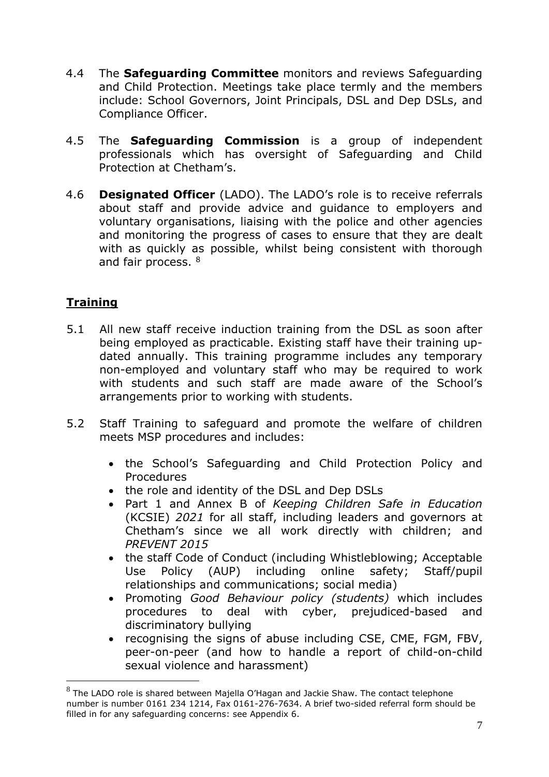- 4.4 The **Safeguarding Committee** monitors and reviews Safeguarding and Child Protection. Meetings take place termly and the members include: School Governors, Joint Principals, DSL and Dep DSLs, and Compliance Officer.
- 4.5 The **Safeguarding Commission** is a group of independent professionals which has oversight of Safeguarding and Child Protection at Chetham's.
- 4.6 **Designated Officer** (LADO). The LADO's role is to receive referrals about staff and provide advice and guidance to employers and voluntary organisations, liaising with the police and other agencies and monitoring the progress of cases to ensure that they are dealt with as quickly as possible, whilst being consistent with thorough and fair process. 8

## **Training**

- 5.1 All new staff receive induction training from the DSL as soon after being employed as practicable. Existing staff have their training updated annually. This training programme includes any temporary non-employed and voluntary staff who may be required to work with students and such staff are made aware of the School's arrangements prior to working with students.
- 5.2 Staff Training to safeguard and promote the welfare of children meets MSP procedures and includes:
	- the School's Safeguarding and Child Protection Policy and Procedures
	- the role and identity of the DSL and Dep DSLs
	- Part 1 and Annex B of *Keeping Children Safe in Education* (KCSIE) *2021* for all staff, including leaders and governors at Chetham's since we all work directly with children; and *PREVENT 2015*
	- the staff Code of Conduct (including Whistleblowing; Acceptable Use Policy (AUP) including online safety; Staff/pupil relationships and communications; social media)
	- Promoting *Good Behaviour policy (students)* which includes procedures to deal with cyber, prejudiced-based and discriminatory bullying
	- recognising the signs of abuse including CSE, CME, FGM, FBV, peer-on-peer (and how to handle a report of child-on-child sexual violence and harassment)

 $8$  The LADO role is shared between Majella O'Hagan and Jackie Shaw. The contact telephone number is number 0161 234 1214, Fax 0161-276-7634. A brief two-sided referral form should be filled in for any safeguarding concerns: see Appendix 6.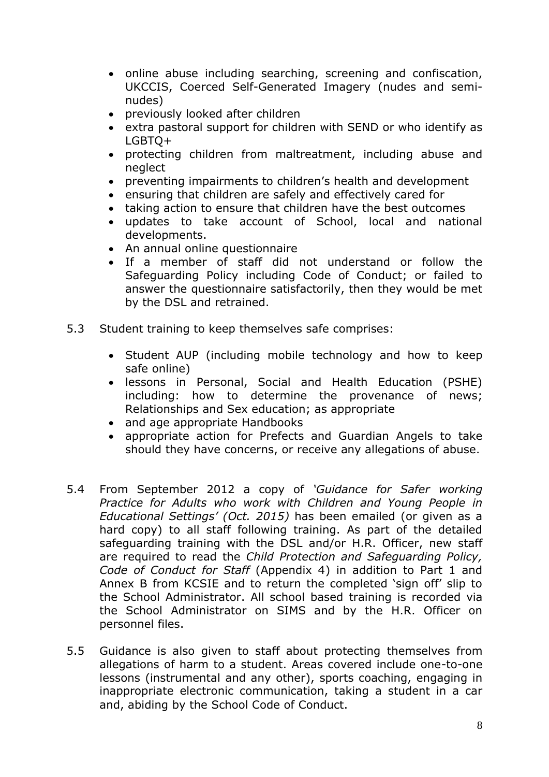- online abuse including searching, screening and confiscation, UKCCIS, Coerced Self-Generated Imagery (nudes and seminudes)
- previously looked after children
- extra pastoral support for children with SEND or who identify as LGBTQ+
- protecting children from maltreatment, including abuse and neglect
- preventing impairments to children's health and development
- ensuring that children are safely and effectively cared for
- taking action to ensure that children have the best outcomes
- updates to take account of School, local and national developments.
- An annual online questionnaire
- If a member of staff did not understand or follow the Safeguarding Policy including Code of Conduct; or failed to answer the questionnaire satisfactorily, then they would be met by the DSL and retrained.
- 5.3 Student training to keep themselves safe comprises:
	- Student AUP (including mobile technology and how to keep safe online)
	- lessons in Personal, Social and Health Education (PSHE) including: how to determine the provenance of news; Relationships and Sex education; as appropriate
	- and age appropriate Handbooks
	- appropriate action for Prefects and Guardian Angels to take should they have concerns, or receive any allegations of abuse.
- 5.4 From September 2012 a copy of *'Guidance for Safer working Practice for Adults who work with Children and Young People in Educational Settings' (Oct. 2015)* has been emailed (or given as a hard copy) to all staff following training. As part of the detailed safeguarding training with the DSL and/or H.R. Officer, new staff are required to read the *Child Protection and Safeguarding Policy, Code of Conduct for Staff* (Appendix 4) in addition to Part 1 and Annex B from KCSIE and to return the completed 'sign off' slip to the School Administrator. All school based training is recorded via the School Administrator on SIMS and by the H.R. Officer on personnel files.
- 5.5 Guidance is also given to staff about protecting themselves from allegations of harm to a student. Areas covered include one-to-one lessons (instrumental and any other), sports coaching, engaging in inappropriate electronic communication, taking a student in a car and, abiding by the School Code of Conduct.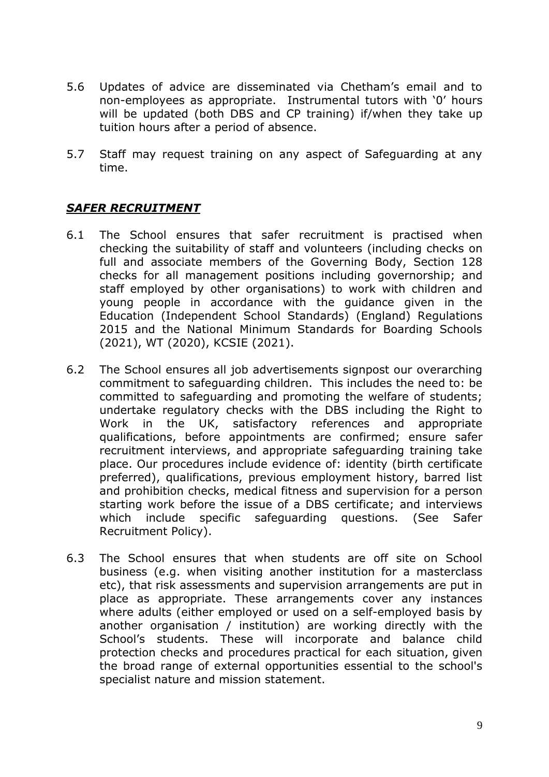- 5.6 Updates of advice are disseminated via Chetham's email and to non-employees as appropriate. Instrumental tutors with '0' hours will be updated (both DBS and CP training) if/when they take up tuition hours after a period of absence.
- 5.7 Staff may request training on any aspect of Safeguarding at any time.

## *SAFER RECRUITMENT*

- 6.1 The School ensures that safer recruitment is practised when checking the suitability of staff and volunteers (including checks on full and associate members of the Governing Body, Section 128 checks for all management positions including governorship; and staff employed by other organisations) to work with children and young people in accordance with the guidance given in the Education (Independent School Standards) (England) Regulations 2015 and the National Minimum Standards for Boarding Schools (2021), WT (2020), KCSIE (2021).
- 6.2 The School ensures all job advertisements signpost our overarching commitment to safeguarding children. This includes the need to: be committed to safeguarding and promoting the welfare of students; undertake regulatory checks with the DBS including the Right to Work in the UK, satisfactory references and appropriate qualifications, before appointments are confirmed; ensure safer recruitment interviews, and appropriate safeguarding training take place. Our procedures include evidence of: identity (birth certificate preferred), qualifications, previous employment history, barred list and prohibition checks, medical fitness and supervision for a person starting work before the issue of a DBS certificate; and interviews which include specific safeguarding questions. (See Safer Recruitment Policy).
- 6.3 The School ensures that when students are off site on School business (e.g. when visiting another institution for a masterclass etc), that risk assessments and supervision arrangements are put in place as appropriate. These arrangements cover any instances where adults (either employed or used on a self-employed basis by another organisation / institution) are working directly with the School's students. These will incorporate and balance child protection checks and procedures practical for each situation, given the broad range of external opportunities essential to the school's specialist nature and mission statement.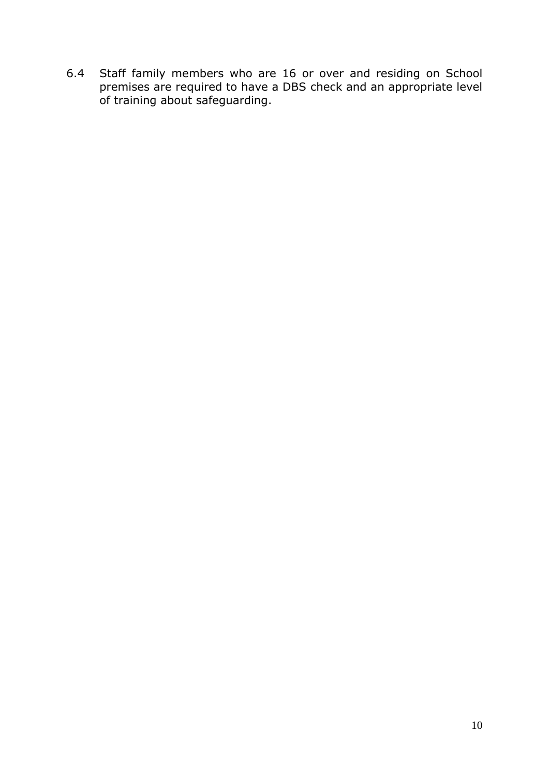6.4 Staff family members who are 16 or over and residing on School premises are required to have a DBS check and an appropriate level of training about safeguarding.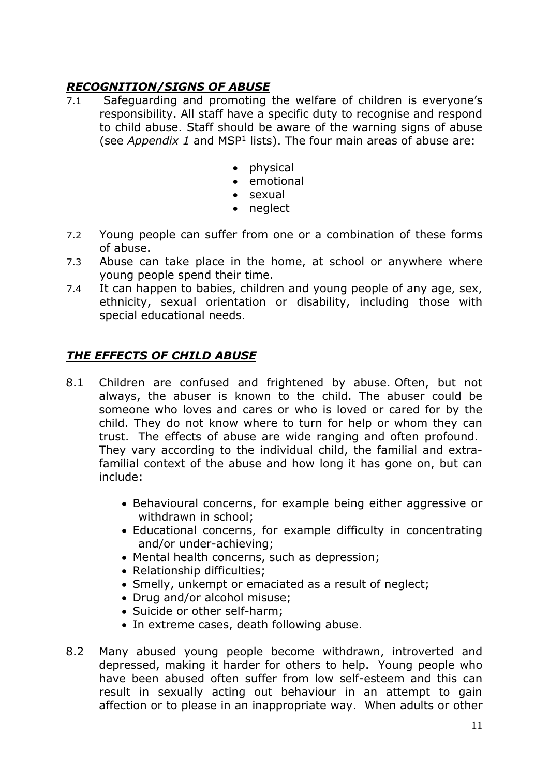## *RECOGNITION/SIGNS OF ABUSE*

- 7.1 Safeguarding and promoting the welfare of children is everyone's responsibility. All staff have a specific duty to recognise and respond to child abuse. Staff should be aware of the warning signs of abuse (see *Appendix 1* and MSP<sup>1</sup> lists). The four main areas of abuse are:
	- physical
	- emotional
	- sexual
	- neglect
- 7.2 Young people can suffer from one or a combination of these forms of abuse.
- 7.3 Abuse can take place in the home, at school or anywhere where young people spend their time.
- 7.4 It can happen to babies, children and young people of any age, sex, ethnicity, sexual orientation or disability, including those with special educational needs.

## *THE EFFECTS OF CHILD ABUSE*

- 8.1 Children are confused and frightened by abuse. Often, but not always, the abuser is known to the child. The abuser could be someone who loves and cares or who is loved or cared for by the child. They do not know where to turn for help or whom they can trust. The effects of abuse are wide ranging and often profound. They vary according to the individual child, the familial and extrafamilial context of the abuse and how long it has gone on, but can include:
	- Behavioural concerns, for example being either aggressive or withdrawn in school;
	- Educational concerns, for example difficulty in concentrating and/or under-achieving;
	- Mental health concerns, such as depression;
	- Relationship difficulties:
	- Smelly, unkempt or emaciated as a result of neglect;
	- Drug and/or alcohol misuse:
	- Suicide or other self-harm;
	- In extreme cases, death following abuse.
- 8.2 Many abused young people become withdrawn, introverted and depressed, making it harder for others to help. Young people who have been abused often suffer from low self-esteem and this can result in sexually acting out behaviour in an attempt to gain affection or to please in an inappropriate way. When adults or other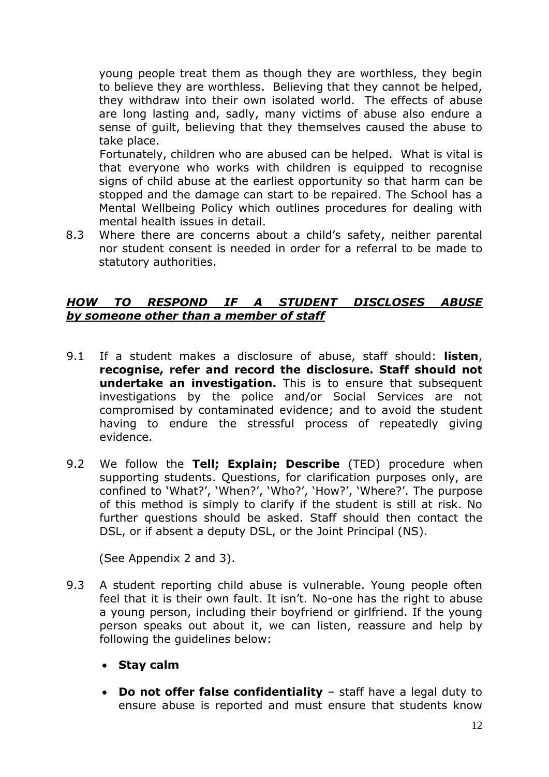young people treat them as though they are worthless, they begin to believe they are worthless. Believing that they cannot be helped, they withdraw into their own isolated world. The effects of abuse are long lasting and, sadly, many victims of abuse also endure a sense of guilt, believing that they themselves caused the abuse to take place.

Fortunately, children who are abused can be helped. What is vital is that everyone who works with children is equipped to recognise signs of child abuse at the earliest opportunity so that harm can be stopped and the damage can start to be repaired. The School has a Mental Wellbeing Policy which outlines procedures for dealing with mental health issues in detail.

8.3 Where there are concerns about a child's safety, neither parental nor student consent is needed in order for a referral to be made to statutory authorities.

### *HOW TO RESPOND IF A STUDENT DISCLOSES ABUSE by someone other than a member of staff*

- 9.1 If a student makes a disclosure of abuse, staff should: **listen**, **recognise, refer and record the disclosure. Staff should not undertake an investigation.** This is to ensure that subsequent investigations by the police and/or Social Services are not compromised by contaminated evidence; and to avoid the student having to endure the stressful process of repeatedly giving evidence.
- 9.2 We follow the **Tell; Explain; Describe** (TED) procedure when supporting students. Questions, for clarification purposes only, are confined to 'What?', 'When?', 'Who?', 'How?', 'Where?'. The purpose of this method is simply to clarify if the student is still at risk. No further questions should be asked. Staff should then contact the DSL, or if absent a deputy DSL, or the Joint Principal (NS).

(See Appendix 2 and 3).

- 9.3 A student reporting child abuse is vulnerable. Young people often feel that it is their own fault. It isn't. No-one has the right to abuse a young person, including their boyfriend or girlfriend. If the young person speaks out about it, we can listen, reassure and help by following the guidelines below:
	- **Stay calm**
	- **Do not offer false confidentiality** staff have a legal duty to ensure abuse is reported and must ensure that students know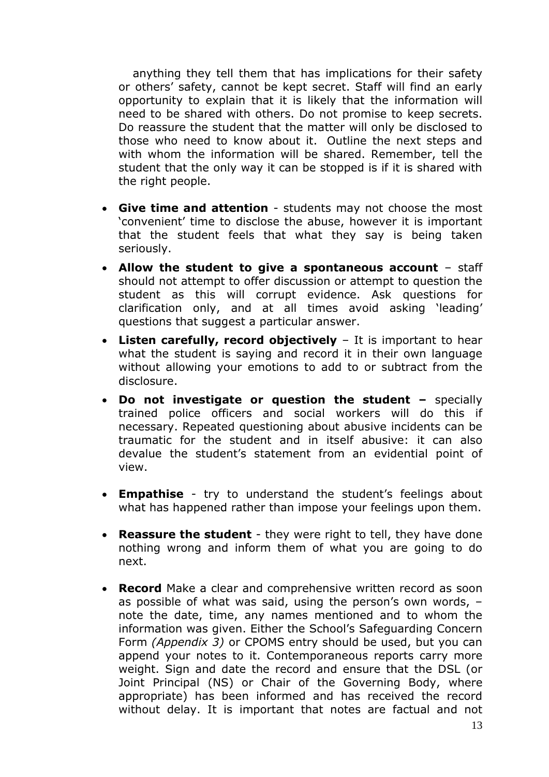anything they tell them that has implications for their safety or others' safety, cannot be kept secret. Staff will find an early opportunity to explain that it is likely that the information will need to be shared with others. Do not promise to keep secrets. Do reassure the student that the matter will only be disclosed to those who need to know about it. Outline the next steps and with whom the information will be shared. Remember, tell the student that the only way it can be stopped is if it is shared with the right people.

- **Give time and attention** students may not choose the most 'convenient' time to disclose the abuse, however it is important that the student feels that what they say is being taken seriously.
- **Allow the student to give a spontaneous account** staff should not attempt to offer discussion or attempt to question the student as this will corrupt evidence. Ask questions for clarification only, and at all times avoid asking 'leading' questions that suggest a particular answer.
- **Listen carefully, record objectively** It is important to hear what the student is saying and record it in their own language without allowing your emotions to add to or subtract from the disclosure.
- **Do not investigate or question the student –** specially trained police officers and social workers will do this if necessary. Repeated questioning about abusive incidents can be traumatic for the student and in itself abusive: it can also devalue the student's statement from an evidential point of view.
- **Empathise** try to understand the student's feelings about what has happened rather than impose your feelings upon them.
- **Reassure the student** they were right to tell, they have done nothing wrong and inform them of what you are going to do next.
- **Record** Make a clear and comprehensive written record as soon as possible of what was said, using the person's own words, – note the date, time, any names mentioned and to whom the information was given. Either the School's Safeguarding Concern Form *(Appendix 3)* or CPOMS entry should be used, but you can append your notes to it. Contemporaneous reports carry more weight. Sign and date the record and ensure that the DSL (or Joint Principal (NS) or Chair of the Governing Body, where appropriate) has been informed and has received the record without delay. It is important that notes are factual and not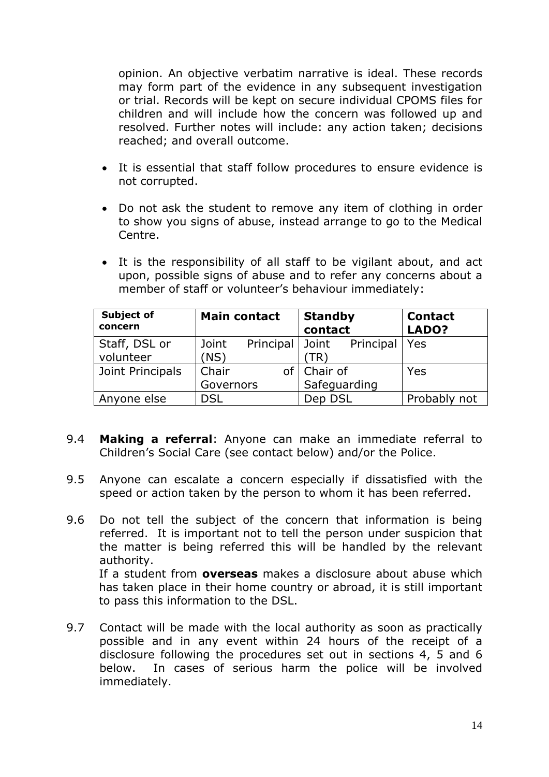opinion. An objective verbatim narrative is ideal. These records may form part of the evidence in any subsequent investigation or trial. Records will be kept on secure individual CPOMS files for children and will include how the concern was followed up and resolved. Further notes will include: any action taken; decisions reached; and overall outcome.

- It is essential that staff follow procedures to ensure evidence is not corrupted.
- Do not ask the student to remove any item of clothing in order to show you signs of abuse, instead arrange to go to the Medical Centre.
- It is the responsibility of all staff to be vigilant about, and act upon, possible signs of abuse and to refer any concerns about a member of staff or volunteer's behaviour immediately:

| <b>Subject of</b><br>concern | <b>Main contact</b> | <b>Standby</b><br>contact        | <b>Contact</b><br>LADO? |
|------------------------------|---------------------|----------------------------------|-------------------------|
| Staff, DSL or<br>volunteer   | Joint<br>(NS)       | Principal Joint Principal<br>TR` | Yes                     |
| Joint Principals             | Chair               | of   Chair of                    | Yes                     |
|                              | Governors           | Safeguarding                     |                         |
| Anyone else                  | <b>DSL</b>          | Dep DSL                          | Probably not            |

- 9.4 **Making a referral**: Anyone can make an immediate referral to Children's Social Care (see contact below) and/or the Police.
- 9.5 Anyone can escalate a concern especially if dissatisfied with the speed or action taken by the person to whom it has been referred.
- 9.6 Do not tell the subject of the concern that information is being referred. It is important not to tell the person under suspicion that the matter is being referred this will be handled by the relevant authority. If a student from **overseas** makes a disclosure about abuse which has taken place in their home country or abroad, it is still important to pass this information to the DSL.
- 9.7 Contact will be made with the local authority as soon as practically possible and in any event within 24 hours of the receipt of a disclosure following the procedures set out in sections 4, 5 and 6 below. In cases of serious harm the police will be involved immediately.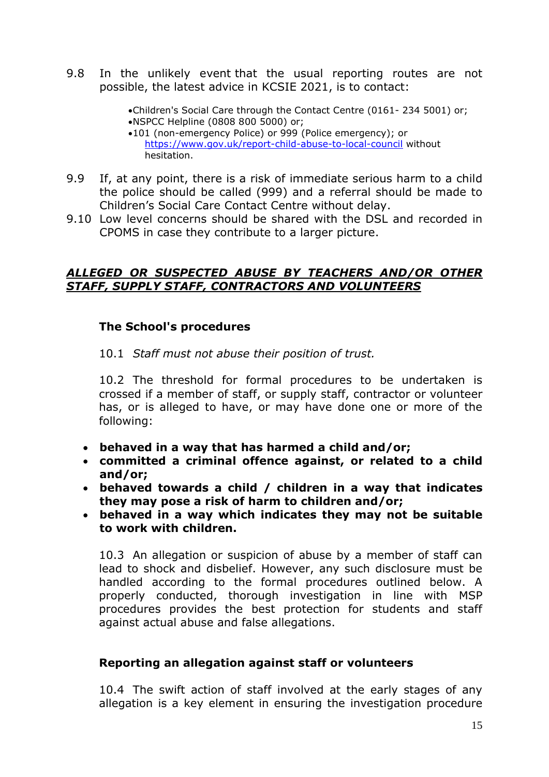9.8 In the unlikely event that the usual reporting routes are not possible, the latest advice in KCSIE 2021, is to contact:

> •Children's Social Care through the Contact Centre (0161- 234 5001) or; •NSPCC Helpline (0808 800 5000) or; •101 (non-emergency Police) or 999 (Police emergency); or

<https://www.gov.uk/report-child-abuse-to-local-council> without hesitation.

- 9.9 If, at any point, there is a risk of immediate serious harm to a child the police should be called (999) and a referral should be made to Children's Social Care Contact Centre without delay.
- 9.10 Low level concerns should be shared with the DSL and recorded in CPOMS in case they contribute to a larger picture.

### *ALLEGED OR SUSPECTED ABUSE BY TEACHERS AND/OR OTHER STAFF, SUPPLY STAFF, CONTRACTORS AND VOLUNTEERS*

## **The School's procedures**

10.1 *Staff must not abuse their position of trust.* 

10.2 The threshold for formal procedures to be undertaken is crossed if a member of staff, or supply staff, contractor or volunteer has, or is alleged to have, or may have done one or more of the following:

- **behaved in a way that has harmed a child and/or;**
- **committed a criminal offence against, or related to a child and/or;**
- **behaved towards a child / children in a way that indicates they may pose a risk of harm to children and/or;**
- **behaved in a way which indicates they may not be suitable to work with children.**

10.3 An allegation or suspicion of abuse by a member of staff can lead to shock and disbelief. However, any such disclosure must be handled according to the formal procedures outlined below. A properly conducted, thorough investigation in line with MSP procedures provides the best protection for students and staff against actual abuse and false allegations.

## **Reporting an allegation against staff or volunteers**

10.4 The swift action of staff involved at the early stages of any allegation is a key element in ensuring the investigation procedure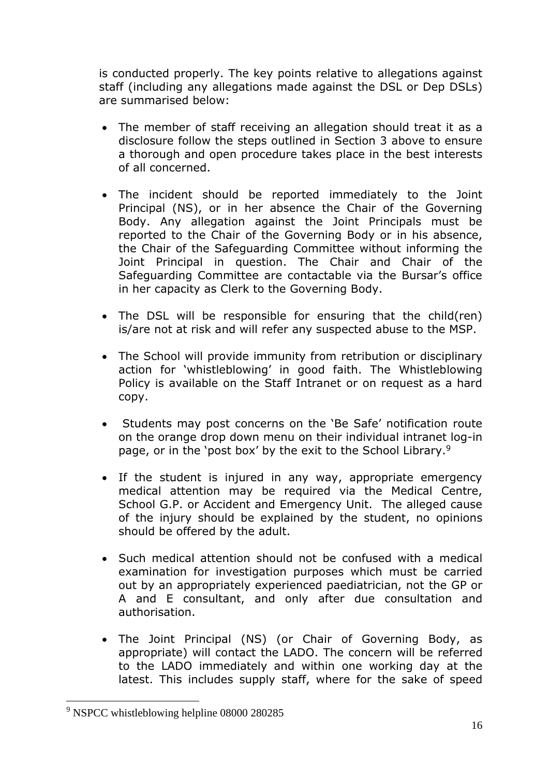is conducted properly. The key points relative to allegations against staff (including any allegations made against the DSL or Dep DSLs) are summarised below:

- The member of staff receiving an allegation should treat it as a disclosure follow the steps outlined in Section 3 above to ensure a thorough and open procedure takes place in the best interests of all concerned.
- The incident should be reported immediately to the Joint Principal (NS), or in her absence the Chair of the Governing Body. Any allegation against the Joint Principals must be reported to the Chair of the Governing Body or in his absence, the Chair of the Safeguarding Committee without informing the Joint Principal in question. The Chair and Chair of the Safeguarding Committee are contactable via the Bursar's office in her capacity as Clerk to the Governing Body.
- The DSL will be responsible for ensuring that the child(ren) is/are not at risk and will refer any suspected abuse to the MSP.
- The School will provide immunity from retribution or disciplinary action for 'whistleblowing' in good faith. The Whistleblowing Policy is available on the Staff Intranet or on request as a hard copy.
- Students may post concerns on the 'Be Safe' notification route on the orange drop down menu on their individual intranet log-in page, or in the 'post box' by the exit to the School Library.<sup>9</sup>
- If the student is injured in any way, appropriate emergency medical attention may be required via the Medical Centre, School G.P. or Accident and Emergency Unit. The alleged cause of the injury should be explained by the student, no opinions should be offered by the adult.
- Such medical attention should not be confused with a medical examination for investigation purposes which must be carried out by an appropriately experienced paediatrician, not the GP or A and E consultant, and only after due consultation and authorisation.
- The Joint Principal (NS) (or Chair of Governing Body, as appropriate) will contact the LADO. The concern will be referred to the LADO immediately and within one working day at the latest. This includes supply staff, where for the sake of speed

<sup>9</sup> NSPCC whistleblowing helpline 08000 280285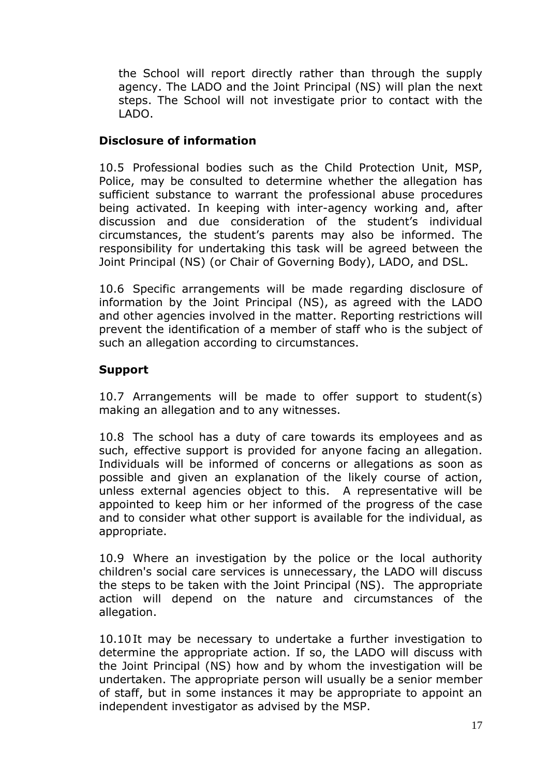the School will report directly rather than through the supply agency. The LADO and the Joint Principal (NS) will plan the next steps. The School will not investigate prior to contact with the LADO.

## **Disclosure of information**

10.5 Professional bodies such as the Child Protection Unit, MSP, Police, may be consulted to determine whether the allegation has sufficient substance to warrant the professional abuse procedures being activated. In keeping with inter-agency working and, after discussion and due consideration of the student's individual circumstances, the student's parents may also be informed. The responsibility for undertaking this task will be agreed between the Joint Principal (NS) (or Chair of Governing Body), LADO, and DSL.

10.6 Specific arrangements will be made regarding disclosure of information by the Joint Principal (NS), as agreed with the LADO and other agencies involved in the matter. Reporting restrictions will prevent the identification of a member of staff who is the subject of such an allegation according to circumstances.

## **Support**

10.7 Arrangements will be made to offer support to student(s) making an allegation and to any witnesses.

10.8 The school has a duty of care towards its employees and as such, effective support is provided for anyone facing an allegation. Individuals will be informed of concerns or allegations as soon as possible and given an explanation of the likely course of action, unless external agencies object to this. A representative will be appointed to keep him or her informed of the progress of the case and to consider what other support is available for the individual, as appropriate.

10.9 Where an investigation by the police or the local authority children's social care services is unnecessary, the LADO will discuss the steps to be taken with the Joint Principal (NS). The appropriate action will depend on the nature and circumstances of the allegation.

10.10It may be necessary to undertake a further investigation to determine the appropriate action. If so, the LADO will discuss with the Joint Principal (NS) how and by whom the investigation will be undertaken. The appropriate person will usually be a senior member of staff, but in some instances it may be appropriate to appoint an independent investigator as advised by the MSP.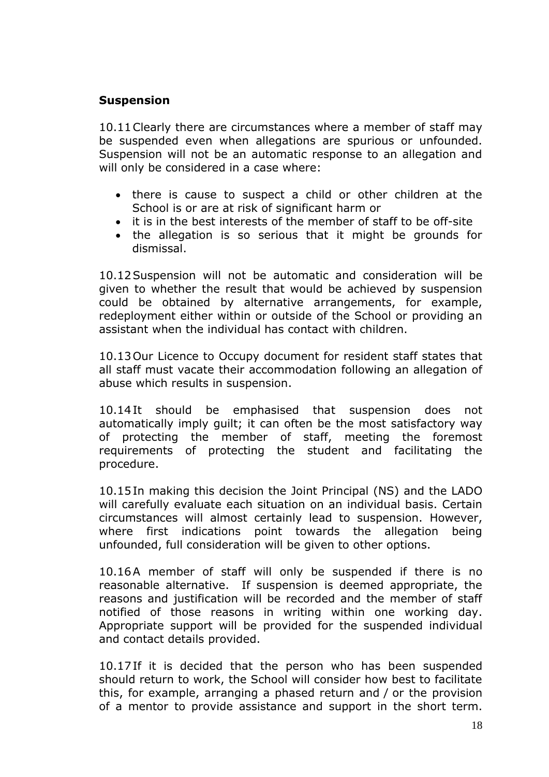#### **Suspension**

10.11Clearly there are circumstances where a member of staff may be suspended even when allegations are spurious or unfounded. Suspension will not be an automatic response to an allegation and will only be considered in a case where:

- there is cause to suspect a child or other children at the School is or are at risk of significant harm or
- it is in the best interests of the member of staff to be off-site
- the allegation is so serious that it might be grounds for dismissal.

10.12Suspension will not be automatic and consideration will be given to whether the result that would be achieved by suspension could be obtained by alternative arrangements, for example, redeployment either within or outside of the School or providing an assistant when the individual has contact with children.

10.13Our Licence to Occupy document for resident staff states that all staff must vacate their accommodation following an allegation of abuse which results in suspension.

10.14It should be emphasised that suspension does not automatically imply guilt; it can often be the most satisfactory way of protecting the member of staff, meeting the foremost requirements of protecting the student and facilitating the procedure.

10.15In making this decision the Joint Principal (NS) and the LADO will carefully evaluate each situation on an individual basis. Certain circumstances will almost certainly lead to suspension. However, where first indications point towards the allegation being unfounded, full consideration will be given to other options.

10.16A member of staff will only be suspended if there is no reasonable alternative. If suspension is deemed appropriate, the reasons and justification will be recorded and the member of staff notified of those reasons in writing within one working day. Appropriate support will be provided for the suspended individual and contact details provided.

10.17If it is decided that the person who has been suspended should return to work, the School will consider how best to facilitate this, for example, arranging a phased return and / or the provision of a mentor to provide assistance and support in the short term.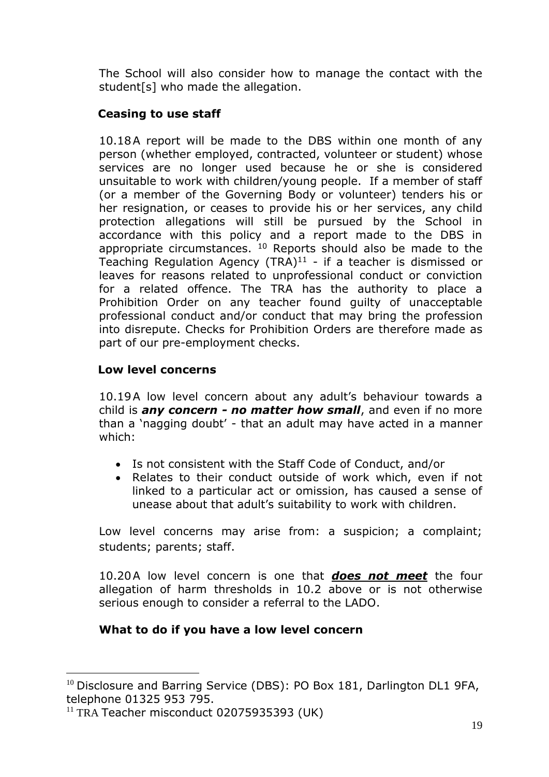The School will also consider how to manage the contact with the student[s] who made the allegation.

## **Ceasing to use staff**

10.18A report will be made to the DBS within one month of any person (whether employed, contracted, volunteer or student) whose services are no longer used because he or she is considered unsuitable to work with children/young people. If a member of staff (or a member of the Governing Body or volunteer) tenders his or her resignation, or ceases to provide his or her services, any child protection allegations will still be pursued by the School in accordance with this policy and a report made to the DBS in appropriate circumstances.  $10$  Reports should also be made to the Teaching Regulation Agency  $(TRA)^{11}$  - if a teacher is dismissed or leaves for reasons related to unprofessional conduct or conviction for a related offence. The TRA has the authority to place a Prohibition Order on any teacher found guilty of unacceptable professional conduct and/or conduct that may bring the profession into disrepute. Checks for Prohibition Orders are therefore made as part of our pre-employment checks.

## **Low level concerns**

10.19A low level concern about any adult's behaviour towards a child is *any concern - no matter how small*, and even if no more than a 'nagging doubt' - that an adult may have acted in a manner which:

- Is not consistent with the Staff Code of Conduct, and/or
- Relates to their conduct outside of work which, even if not linked to a particular act or omission, has caused a sense of unease about that adult's suitability to work with children.

Low level concerns may arise from: a suspicion; a complaint; students; parents; staff.

10.20A low level concern is one that *does not meet* the four allegation of harm thresholds in 10.2 above or is not otherwise serious enough to consider a referral to the LADO.

## **What to do if you have a low level concern**

<sup>&</sup>lt;sup>10</sup> Disclosure and Barring Service (DBS): PO Box 181, Darlington DL1 9FA, telephone 01325 953 795.

<sup>&</sup>lt;sup>11</sup> TRA Teacher misconduct 02075935393 (UK)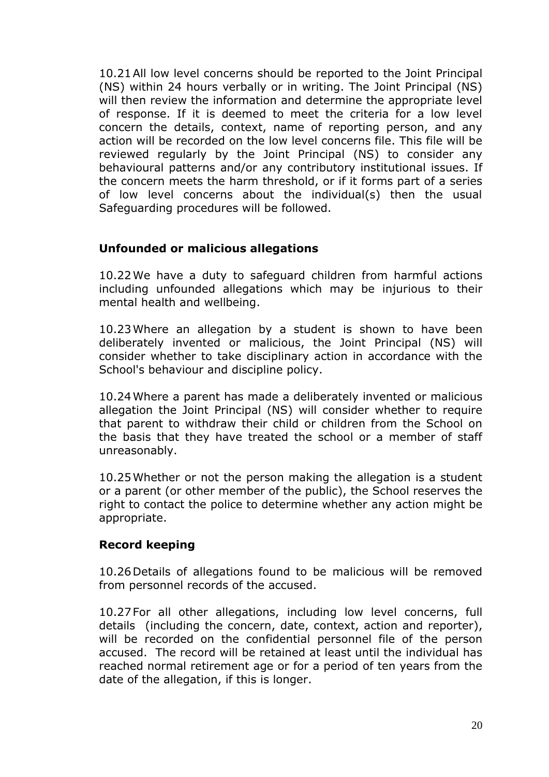10.21All low level concerns should be reported to the Joint Principal (NS) within 24 hours verbally or in writing. The Joint Principal (NS) will then review the information and determine the appropriate level of response. If it is deemed to meet the criteria for a low level concern the details, context, name of reporting person, and any action will be recorded on the low level concerns file. This file will be reviewed regularly by the Joint Principal (NS) to consider any behavioural patterns and/or any contributory institutional issues. If the concern meets the harm threshold, or if it forms part of a series of low level concerns about the individual(s) then the usual Safeguarding procedures will be followed.

### **Unfounded or malicious allegations**

10.22We have a duty to safeguard children from harmful actions including unfounded allegations which may be injurious to their mental health and wellbeing.

10.23Where an allegation by a student is shown to have been deliberately invented or malicious, the Joint Principal (NS) will consider whether to take disciplinary action in accordance with the School's behaviour and discipline policy.

10.24Where a parent has made a deliberately invented or malicious allegation the Joint Principal (NS) will consider whether to require that parent to withdraw their child or children from the School on the basis that they have treated the school or a member of staff unreasonably.

10.25Whether or not the person making the allegation is a student or a parent (or other member of the public), the School reserves the right to contact the police to determine whether any action might be appropriate.

#### **Record keeping**

10.26Details of allegations found to be malicious will be removed from personnel records of the accused.

10.27For all other allegations, including low level concerns, full details (including the concern, date, context, action and reporter), will be recorded on the confidential personnel file of the person accused. The record will be retained at least until the individual has reached normal retirement age or for a period of ten years from the date of the allegation, if this is longer.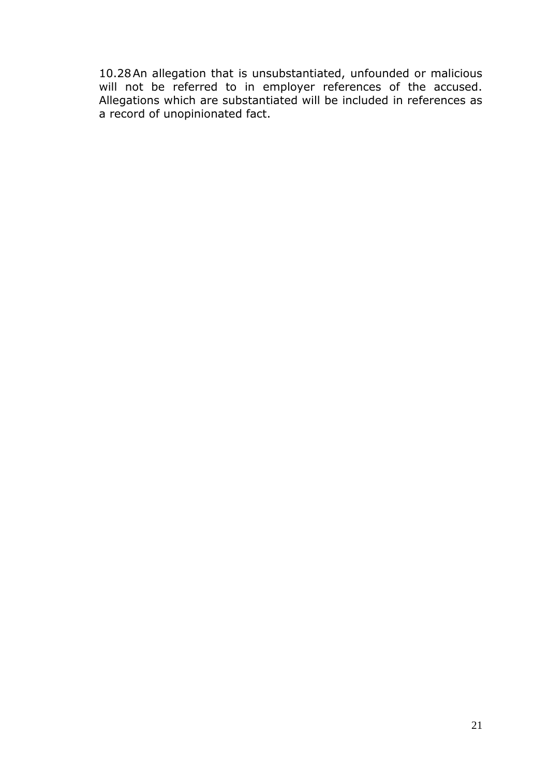10.28An allegation that is unsubstantiated, unfounded or malicious will not be referred to in employer references of the accused. Allegations which are substantiated will be included in references as a record of unopinionated fact.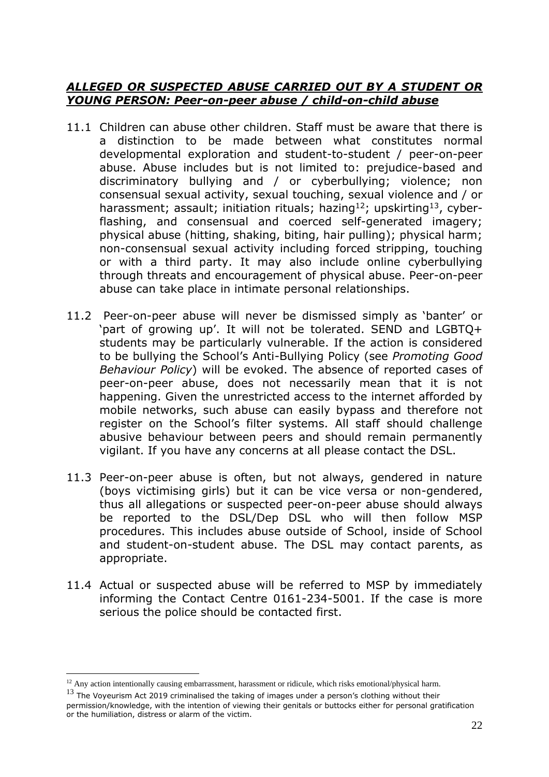#### *ALLEGED OR SUSPECTED ABUSE CARRIED OUT BY A STUDENT OR YOUNG PERSON: Peer-on-peer abuse / child-on-child abuse*

- 11.1 Children can abuse other children. Staff must be aware that there is a distinction to be made between what constitutes normal developmental exploration and student-to-student / peer-on-peer abuse. Abuse includes but is not limited to: prejudice-based and discriminatory bullying and / or cyberbullying; violence; non consensual sexual activity, sexual touching, sexual violence and / or harassment; assault; initiation rituals; hazing<sup>12</sup>; upskirting<sup>13</sup>, cyberflashing, and consensual and coerced self-generated imagery; physical abuse (hitting, shaking, biting, hair pulling); physical harm; non-consensual sexual activity including forced stripping, touching or with a third party. It may also include online cyberbullying through threats and encouragement of physical abuse. Peer-on-peer abuse can take place in intimate personal relationships.
- 11.2 Peer-on-peer abuse will never be dismissed simply as 'banter' or 'part of growing up'. It will not be tolerated. SEND and LGBTQ+ students may be particularly vulnerable. If the action is considered to be bullying the School's Anti-Bullying Policy (see *Promoting Good Behaviour Policy*) will be evoked. The absence of reported cases of peer-on-peer abuse, does not necessarily mean that it is not happening. Given the unrestricted access to the internet afforded by mobile networks, such abuse can easily bypass and therefore not register on the School's filter systems. All staff should challenge abusive behaviour between peers and should remain permanently vigilant. If you have any concerns at all please contact the DSL.
- 11.3 Peer-on-peer abuse is often, but not always, gendered in nature (boys victimising girls) but it can be vice versa or non-gendered, thus all allegations or suspected peer-on-peer abuse should always be reported to the DSL/Dep DSL who will then follow MSP procedures. This includes abuse outside of School, inside of School and student-on-student abuse. The DSL may contact parents, as appropriate.
- 11.4 Actual or suspected abuse will be referred to MSP by immediately informing the Contact Centre 0161-234-5001. If the case is more serious the police should be contacted first.

 $12$  Any action intentionally causing embarrassment, harassment or ridicule, which risks emotional/physical harm.

 $13$  The Voveurism Act 2019 criminalised the taking of images under a person's clothing without their permission/knowledge, with the intention of viewing their genitals or buttocks either for personal gratification or the humiliation, distress or alarm of the victim.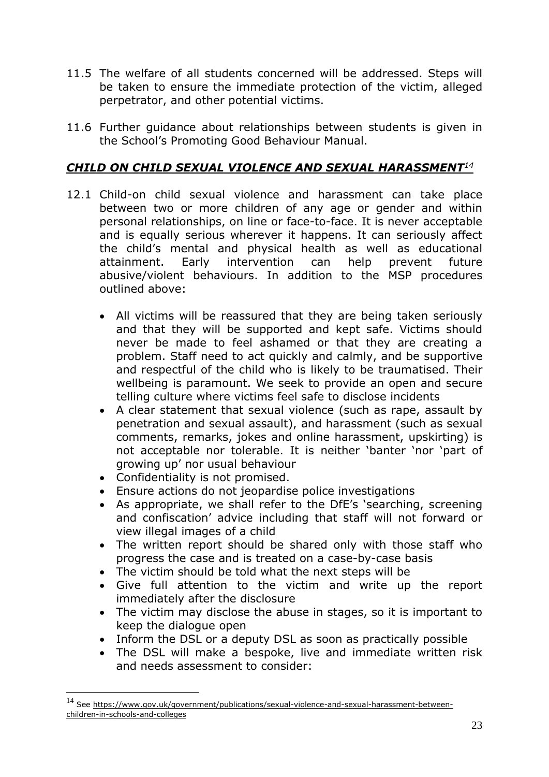- 11.5 The welfare of all students concerned will be addressed. Steps will be taken to ensure the immediate protection of the victim, alleged perpetrator, and other potential victims.
- 11.6 Further guidance about relationships between students is given in the School's Promoting Good Behaviour Manual.

## *CHILD ON CHILD SEXUAL VIOLENCE AND SEXUAL HARASSMENT<sup>14</sup>*

- 12.1 Child-on child sexual violence and harassment can take place between two or more children of any age or gender and within personal relationships, on line or face-to-face. It is never acceptable and is equally serious wherever it happens. It can seriously affect the child's mental and physical health as well as educational attainment. Early intervention can help prevent future abusive/violent behaviours. In addition to the MSP procedures outlined above:
	- All victims will be reassured that they are being taken seriously and that they will be supported and kept safe. Victims should never be made to feel ashamed or that they are creating a problem. Staff need to act quickly and calmly, and be supportive and respectful of the child who is likely to be traumatised. Their wellbeing is paramount. We seek to provide an open and secure telling culture where victims feel safe to disclose incidents
	- A clear statement that sexual violence (such as rape, assault by penetration and sexual assault), and harassment (such as sexual comments, remarks, jokes and online harassment, upskirting) is not acceptable nor tolerable. It is neither 'banter 'nor 'part of growing up' nor usual behaviour
	- Confidentiality is not promised.
	- Ensure actions do not jeopardise police investigations
	- As appropriate, we shall refer to the DfE's 'searching, screening and confiscation' advice including that staff will not forward or view illegal images of a child
	- The written report should be shared only with those staff who progress the case and is treated on a case-by-case basis
	- The victim should be told what the next steps will be
	- Give full attention to the victim and write up the report immediately after the disclosure
	- The victim may disclose the abuse in stages, so it is important to keep the dialogue open
	- Inform the DSL or a deputy DSL as soon as practically possible
	- The DSL will make a bespoke, live and immediate written risk and needs assessment to consider:

<sup>14</sup> Se[e https://www.gov.uk/government/publications/sexual-violence-and-sexual-harassment-between](https://www.gov.uk/government/publications/sexual-violence-and-sexual-harassment-between-children-in-schools-and-colleges)[children-in-schools-and-colleges](https://www.gov.uk/government/publications/sexual-violence-and-sexual-harassment-between-children-in-schools-and-colleges)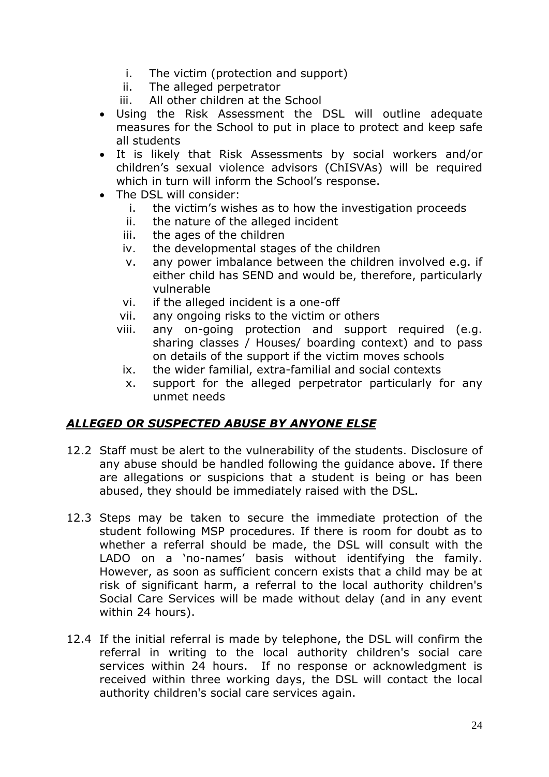- i. The victim (protection and support)
- ii. The alleged perpetrator
- iii. All other children at the School
- Using the Risk Assessment the DSL will outline adequate measures for the School to put in place to protect and keep safe all students
- It is likely that Risk Assessments by social workers and/or children's sexual violence advisors (ChISVAs) will be required which in turn will inform the School's response.
- The DSL will consider:
	- i. the victim's wishes as to how the investigation proceeds
	- ii. the nature of the alleged incident
	- iii. the ages of the children
	- iv. the developmental stages of the children
	- v. any power imbalance between the children involved e.g. if either child has SEND and would be, therefore, particularly vulnerable
	- vi. if the alleged incident is a one-off
	- vii. any ongoing risks to the victim or others
	- viii. any on-going protection and support required (e.g. sharing classes / Houses/ boarding context) and to pass on details of the support if the victim moves schools
		- ix. the wider familial, extra-familial and social contexts
		- x. support for the alleged perpetrator particularly for any unmet needs

## *ALLEGED OR SUSPECTED ABUSE BY ANYONE ELSE*

- 12.2 Staff must be alert to the vulnerability of the students. Disclosure of any abuse should be handled following the guidance above. If there are allegations or suspicions that a student is being or has been abused, they should be immediately raised with the DSL.
- 12.3 Steps may be taken to secure the immediate protection of the student following MSP procedures. If there is room for doubt as to whether a referral should be made, the DSL will consult with the LADO on a 'no-names' basis without identifying the family. However, as soon as sufficient concern exists that a child may be at risk of significant harm, a referral to the local authority children's Social Care Services will be made without delay (and in any event within 24 hours).
- 12.4 If the initial referral is made by telephone, the DSL will confirm the referral in writing to the local authority children's social care services within 24 hours. If no response or acknowledgment is received within three working days, the DSL will contact the local authority children's social care services again.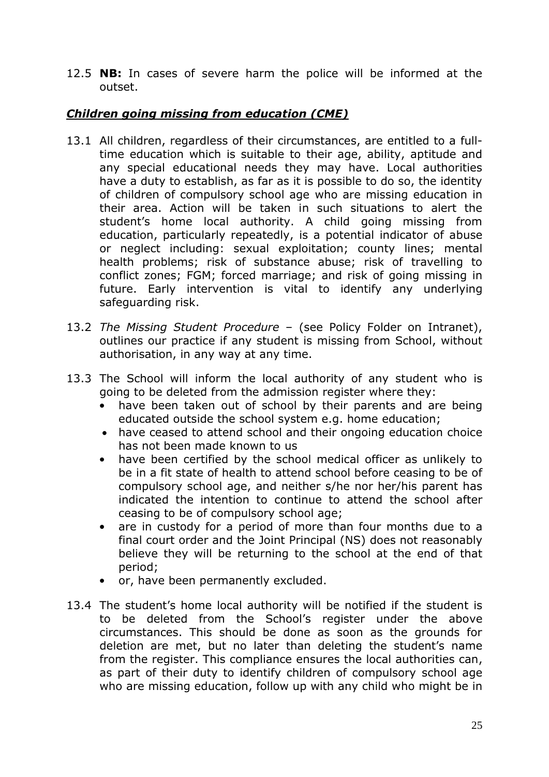12.5 **NB:** In cases of severe harm the police will be informed at the outset.

## *Children going missing from education (CME)*

- 13.1 All children, regardless of their circumstances, are entitled to a fulltime education which is suitable to their age, ability, aptitude and any special educational needs they may have. Local authorities have a duty to establish, as far as it is possible to do so, the identity of children of compulsory school age who are missing education in their area. Action will be taken in such situations to alert the student's home local authority. A child going missing from education, particularly repeatedly, is a potential indicator of abuse or neglect including: sexual exploitation; county lines; mental health problems; risk of substance abuse; risk of travelling to conflict zones; FGM; forced marriage; and risk of going missing in future. Early intervention is vital to identify any underlying safeguarding risk.
- 13.2 *The Missing Student Procedure* (see Policy Folder on Intranet), outlines our practice if any student is missing from School, without authorisation, in any way at any time.
- 13.3 The School will inform the local authority of any student who is going to be deleted from the admission register where they:
	- have been taken out of school by their parents and are being educated outside the school system e.g. home education;
	- have ceased to attend school and their ongoing education choice has not been made known to us
	- have been certified by the school medical officer as unlikely to be in a fit state of health to attend school before ceasing to be of compulsory school age, and neither s/he nor her/his parent has indicated the intention to continue to attend the school after ceasing to be of compulsory school age;
	- are in custody for a period of more than four months due to a final court order and the Joint Principal (NS) does not reasonably believe they will be returning to the school at the end of that period;
	- or, have been permanently excluded.
- 13.4 The student's home local authority will be notified if the student is to be deleted from the School's register under the above circumstances. This should be done as soon as the grounds for deletion are met, but no later than deleting the student's name from the register. This compliance ensures the local authorities can, as part of their duty to identify children of compulsory school age who are missing education, follow up with any child who might be in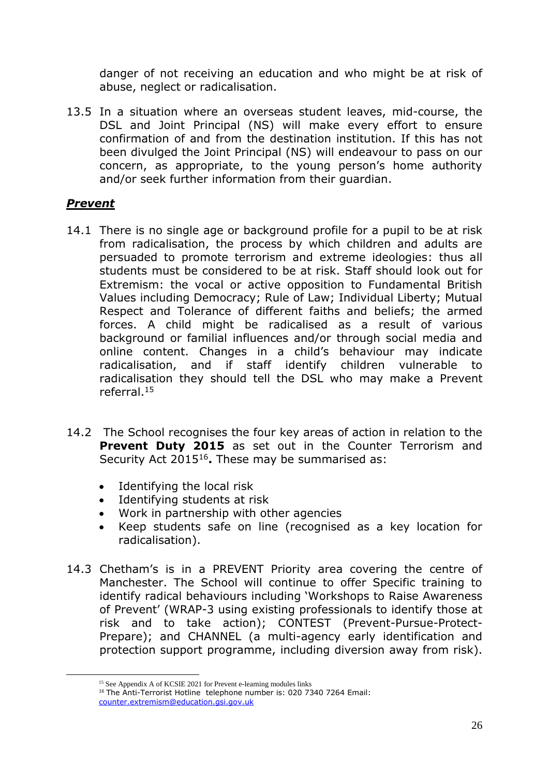danger of not receiving an education and who might be at risk of abuse, neglect or radicalisation.

13.5 In a situation where an overseas student leaves, mid-course, the DSL and Joint Principal (NS) will make every effort to ensure confirmation of and from the destination institution. If this has not been divulged the Joint Principal (NS) will endeavour to pass on our concern, as appropriate, to the young person's home authority and/or seek further information from their guardian.

## *Prevent*

- 14.1 There is no single age or background profile for a pupil to be at risk from radicalisation, the process by which children and adults are persuaded to promote terrorism and extreme ideologies: thus all students must be considered to be at risk. Staff should look out for Extremism: the vocal or active opposition to Fundamental British Values including Democracy; Rule of Law; Individual Liberty; Mutual Respect and Tolerance of different faiths and beliefs; the armed forces. A child might be radicalised as a result of various background or familial influences and/or through social media and online content. Changes in a child's behaviour may indicate radicalisation, and if staff identify children vulnerable to radicalisation they should tell the DSL who may make a Prevent referral.<sup>15</sup>
- 14.2 The School recognises the four key areas of action in relation to the **Prevent Duty 2015** as set out in the Counter Terrorism and Security Act 2015<sup>16</sup>. These may be summarised as:
	- Identifying the local risk
	- Identifying students at risk
	- Work in partnership with other agencies
	- Keep students safe on line (recognised as a key location for radicalisation).
- 14.3 Chetham's is in a PREVENT Priority area covering the centre of Manchester. The School will continue to offer Specific training to identify radical behaviours including 'Workshops to Raise Awareness of Prevent' (WRAP-3 using existing professionals to identify those at risk and to take action); CONTEST (Prevent-Pursue-Protect-Prepare); and CHANNEL (a multi-agency early identification and protection support programme, including diversion away from risk).

<sup>&</sup>lt;sup>15</sup> See Appendix A of KCSIE 2021 for Prevent e-learning modules links

<sup>16</sup> The Anti-Terrorist Hotline telephone number is: 020 7340 7264 Email: [counter.extremism@education.gsi.gov.uk](mailto:counter.extremism@education.gsi.gov.uk)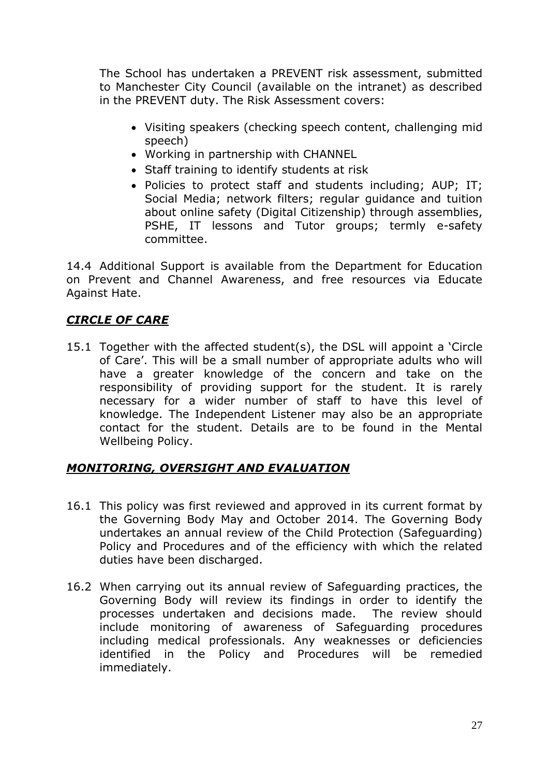The School has undertaken a PREVENT risk assessment, submitted to Manchester City Council (available on the intranet) as described in the PREVENT duty. The Risk Assessment covers:

- Visiting speakers (checking speech content, challenging mid speech)
- Working in partnership with CHANNEL
- Staff training to identify students at risk
- Policies to protect staff and students including; AUP; IT; Social Media; network filters; regular guidance and tuition about online safety (Digital Citizenship) through assemblies, PSHE, IT lessons and Tutor groups; termly e-safety committee.

14.4 Additional Support is available from the Department for Education on Prevent and Channel Awareness, and free resources via Educate Against Hate.

## *CIRCLE OF CARE*

15.1 Together with the affected student(s), the DSL will appoint a 'Circle of Care'. This will be a small number of appropriate adults who will have a greater knowledge of the concern and take on the responsibility of providing support for the student. It is rarely necessary for a wider number of staff to have this level of knowledge. The Independent Listener may also be an appropriate contact for the student. Details are to be found in the Mental Wellbeing Policy.

## *MONITORING, OVERSIGHT AND EVALUATION*

- 16.1 This policy was first reviewed and approved in its current format by the Governing Body May and October 2014. The Governing Body undertakes an annual review of the Child Protection (Safeguarding) Policy and Procedures and of the efficiency with which the related duties have been discharged.
- 16.2 When carrying out its annual review of Safeguarding practices, the Governing Body will review its findings in order to identify the processes undertaken and decisions made. The review should include monitoring of awareness of Safeguarding procedures including medical professionals. Any weaknesses or deficiencies identified in the Policy and Procedures will be remedied immediately.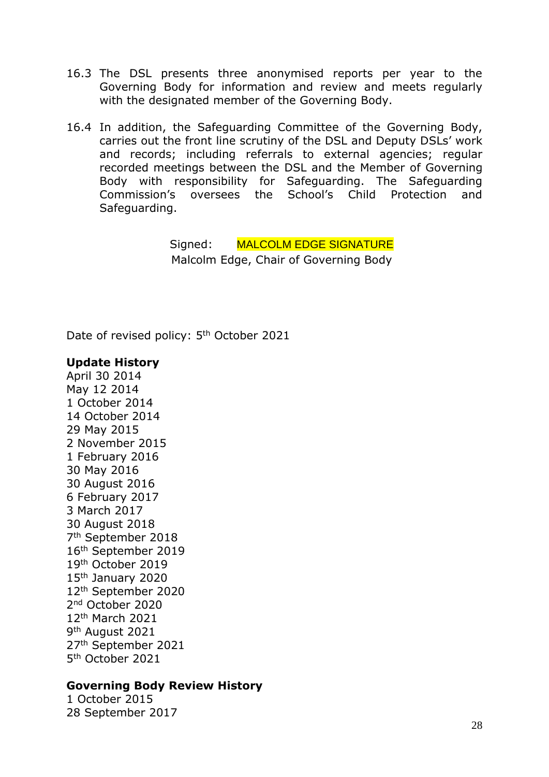- 16.3 The DSL presents three anonymised reports per year to the Governing Body for information and review and meets regularly with the designated member of the Governing Body.
- 16.4 In addition, the Safeguarding Committee of the Governing Body, carries out the front line scrutiny of the DSL and Deputy DSLs' work and records; including referrals to external agencies; regular recorded meetings between the DSL and the Member of Governing Body with responsibility for Safeguarding. The Safeguarding Commission's oversees the School's Child Protection and Safeguarding.

Signed: MALCOLM EDGE SIGNATURE Malcolm Edge, Chair of Governing Body

Date of revised policy: 5<sup>th</sup> October 2021

#### **Update History**

April 30 2014 May 12 2014 1 October 2014 14 October 2014 29 May 2015 2 November 2015 1 February 2016 30 May 2016 30 August 2016 6 February 2017 3 March 2017 30 August 2018 7 th September 2018 16th September 2019 19th October 2019 15<sup>th</sup> January 2020 12th September 2020 2 nd October 2020 12th March 2021 9<sup>th</sup> August 2021 27th September 2021 5 th October 2021

#### **Governing Body Review History**

1 October 2015 28 September 2017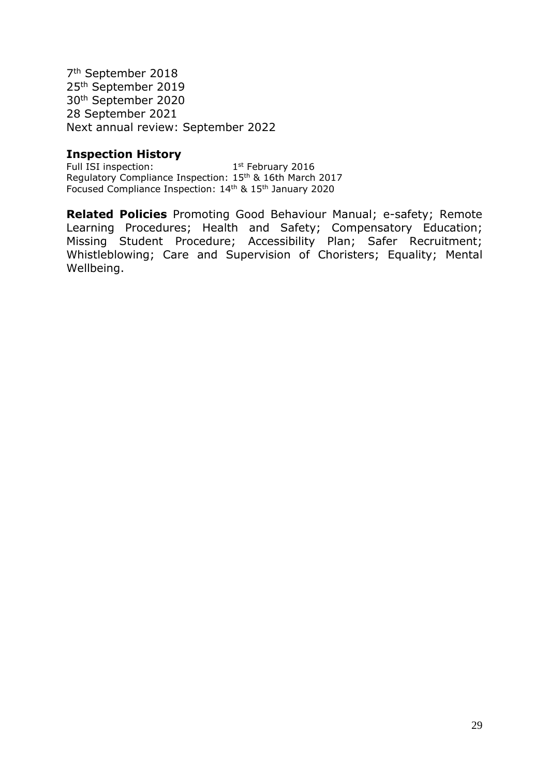7 th September 2018 25th September 2019 30th September 2020 28 September 2021 Next annual review: September 2022

### **Inspection History**

Full ISI inspection: 1st February 2016 Regulatory Compliance Inspection: 15th & 16th March 2017 Focused Compliance Inspection: 14th & 15th January 2020

**Related Policies** Promoting Good Behaviour Manual; e-safety; Remote Learning Procedures; Health and Safety; Compensatory Education; Missing Student Procedure; Accessibility Plan; Safer Recruitment; Whistleblowing; Care and Supervision of Choristers; Equality; Mental Wellbeing.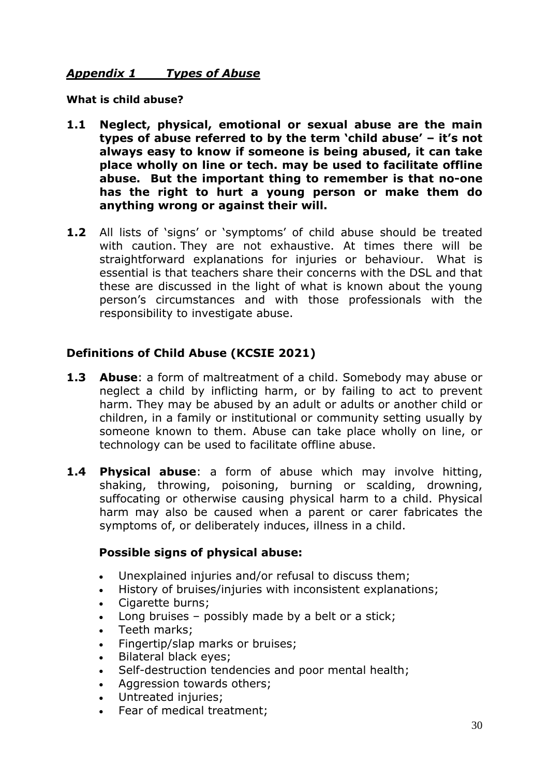### *Appendix 1 Types of Abuse*

**What is child abuse?** 

- **1.1 Neglect, physical, emotional or sexual abuse are the main types of abuse referred to by the term 'child abuse' – it's not always easy to know if someone is being abused, it can take place wholly on line or tech. may be used to facilitate offline abuse. But the important thing to remember is that no-one has the right to hurt a young person or make them do anything wrong or against their will.**
- **1.2** All lists of 'signs' or 'symptoms' of child abuse should be treated with caution. They are not exhaustive. At times there will be straightforward explanations for injuries or behaviour. What is essential is that teachers share their concerns with the DSL and that these are discussed in the light of what is known about the young person's circumstances and with those professionals with the responsibility to investigate abuse.

## **Definitions of Child Abuse (KCSIE 2021)**

- **1.3 Abuse**: a form of maltreatment of a child. Somebody may abuse or neglect a child by inflicting harm, or by failing to act to prevent harm. They may be abused by an adult or adults or another child or children, in a family or institutional or community setting usually by someone known to them. Abuse can take place wholly on line, or technology can be used to facilitate offline abuse.
- **1.4 Physical abuse**: a form of abuse which may involve hitting, shaking, throwing, poisoning, burning or scalding, drowning, suffocating or otherwise causing physical harm to a child. Physical harm may also be caused when a parent or carer fabricates the symptoms of, or deliberately induces, illness in a child.

## **Possible signs of physical abuse:**

- Unexplained injuries and/or refusal to discuss them;
- History of bruises/injuries with inconsistent explanations;
- Cigarette burns:
- Long bruises possibly made by a belt or a stick;
- Teeth marks;
- Fingertip/slap marks or bruises;
- Bilateral black eyes;
- Self-destruction tendencies and poor mental health;
- Aggression towards others;
- Untreated injuries;
- Fear of medical treatment;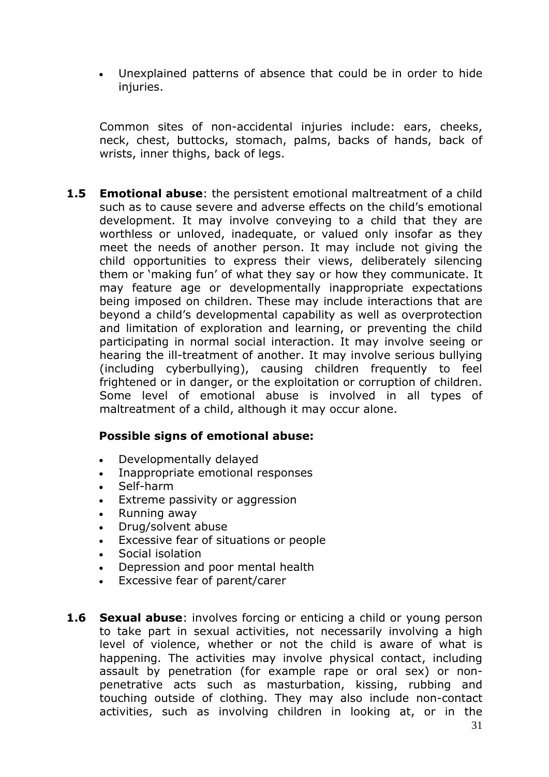• Unexplained patterns of absence that could be in order to hide injuries.

Common sites of non-accidental injuries include: ears, cheeks, neck, chest, buttocks, stomach, palms, backs of hands, back of wrists, inner thighs, back of legs.

**1.5 Emotional abuse**: the persistent emotional maltreatment of a child such as to cause severe and adverse effects on the child's emotional development. It may involve conveying to a child that they are worthless or unloved, inadequate, or valued only insofar as they meet the needs of another person. It may include not giving the child opportunities to express their views, deliberately silencing them or 'making fun' of what they say or how they communicate. It may feature age or developmentally inappropriate expectations being imposed on children. These may include interactions that are beyond a child's developmental capability as well as overprotection and limitation of exploration and learning, or preventing the child participating in normal social interaction. It may involve seeing or hearing the ill-treatment of another. It may involve serious bullying (including cyberbullying), causing children frequently to feel frightened or in danger, or the exploitation or corruption of children. Some level of emotional abuse is involved in all types of maltreatment of a child, although it may occur alone.

#### **Possible signs of emotional abuse:**

- Developmentally delayed
- Inappropriate emotional responses
- Self-harm
- Extreme passivity or aggression
- Running away
- Drug/solvent abuse
- Excessive fear of situations or people
- Social isolation
- Depression and poor mental health
- Excessive fear of parent/carer
- **1.6 Sexual abuse**: involves forcing or enticing a child or young person to take part in sexual activities, not necessarily involving a high level of violence, whether or not the child is aware of what is happening. The activities may involve physical contact, including assault by penetration (for example rape or oral sex) or nonpenetrative acts such as masturbation, kissing, rubbing and touching outside of clothing. They may also include non-contact activities, such as involving children in looking at, or in the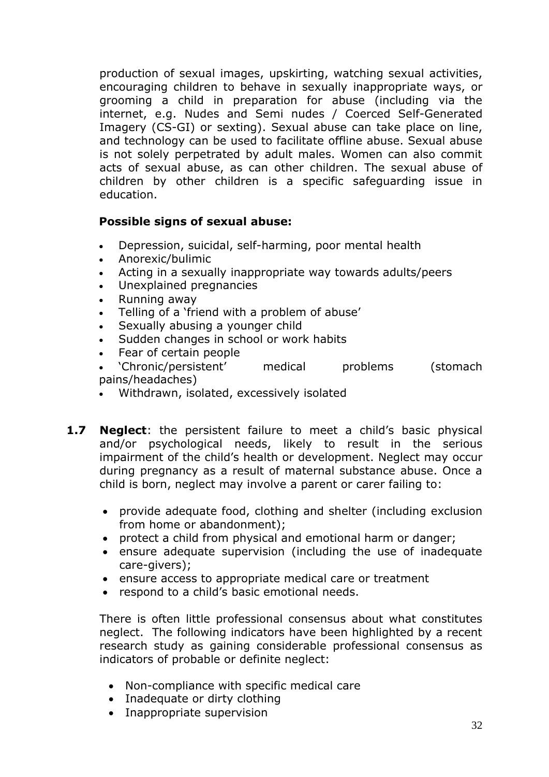production of sexual images, upskirting, watching sexual activities, encouraging children to behave in sexually inappropriate ways, or grooming a child in preparation for abuse (including via the internet, e.g. Nudes and Semi nudes / Coerced Self-Generated Imagery (CS-GI) or sexting). Sexual abuse can take place on line, and technology can be used to facilitate offline abuse. Sexual abuse is not solely perpetrated by adult males. Women can also commit acts of sexual abuse, as can other children. The sexual abuse of children by other children is a specific safeguarding issue in education.

## **Possible signs of sexual abuse:**

- Depression, suicidal, self-harming, poor mental health
- Anorexic/bulimic
- Acting in a sexually inappropriate way towards adults/peers
- Unexplained pregnancies
- Running away
- Telling of a 'friend with a problem of abuse'
- Sexually abusing a younger child
- Sudden changes in school or work habits
- Fear of certain people
- 'Chronic/persistent' medical problems (stomach pains/headaches)
- Withdrawn, isolated, excessively isolated
- **1.7 Neglect**: the persistent failure to meet a child's basic physical and/or psychological needs, likely to result in the serious impairment of the child's health or development. Neglect may occur during pregnancy as a result of maternal substance abuse. Once a child is born, neglect may involve a parent or carer failing to:
	- provide adequate food, clothing and shelter (including exclusion from home or abandonment);
	- protect a child from physical and emotional harm or danger;
	- ensure adequate supervision (including the use of inadequate care-givers);
	- ensure access to appropriate medical care or treatment
	- respond to a child's basic emotional needs.

There is often little professional consensus about what constitutes neglect. The following indicators have been highlighted by a recent research study as gaining considerable professional consensus as indicators of probable or definite neglect:

- Non-compliance with specific medical care
- Inadequate or dirty clothing
- Inappropriate supervision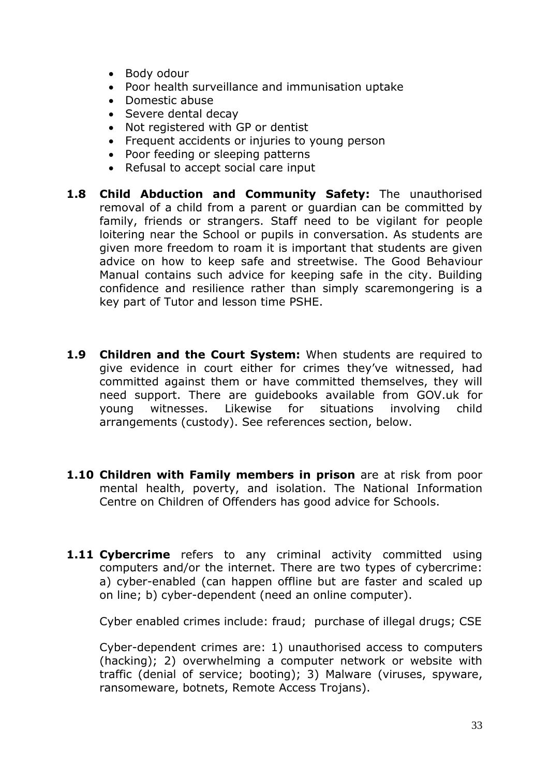- Body odour
- Poor health surveillance and immunisation uptake
- Domestic abuse
- Severe dental decay
- Not registered with GP or dentist
- Frequent accidents or injuries to young person
- Poor feeding or sleeping patterns
- Refusal to accept social care input
- **1.8 Child Abduction and Community Safety:** The unauthorised removal of a child from a parent or guardian can be committed by family, friends or strangers. Staff need to be vigilant for people loitering near the School or pupils in conversation. As students are given more freedom to roam it is important that students are given advice on how to keep safe and streetwise. The Good Behaviour Manual contains such advice for keeping safe in the city. Building confidence and resilience rather than simply scaremongering is a key part of Tutor and lesson time PSHE.
- **1.9 Children and the Court System:** When students are required to give evidence in court either for crimes they've witnessed, had committed against them or have committed themselves, they will need support. There are guidebooks available from GOV.uk for young witnesses. Likewise for situations involving child arrangements (custody). See references section, below.
- **1.10 Children with Family members in prison** are at risk from poor mental health, poverty, and isolation. The National Information Centre on Children of Offenders has good advice for Schools.
- **1.11 Cybercrime** refers to any criminal activity committed using computers and/or the internet. There are two types of cybercrime: a) cyber-enabled (can happen offline but are faster and scaled up on line; b) cyber-dependent (need an online computer).

Cyber enabled crimes include: fraud; purchase of illegal drugs; CSE

Cyber-dependent crimes are: 1) unauthorised access to computers (hacking); 2) overwhelming a computer network or website with traffic (denial of service; booting); 3) Malware (viruses, spyware, ransomeware, botnets, Remote Access Trojans).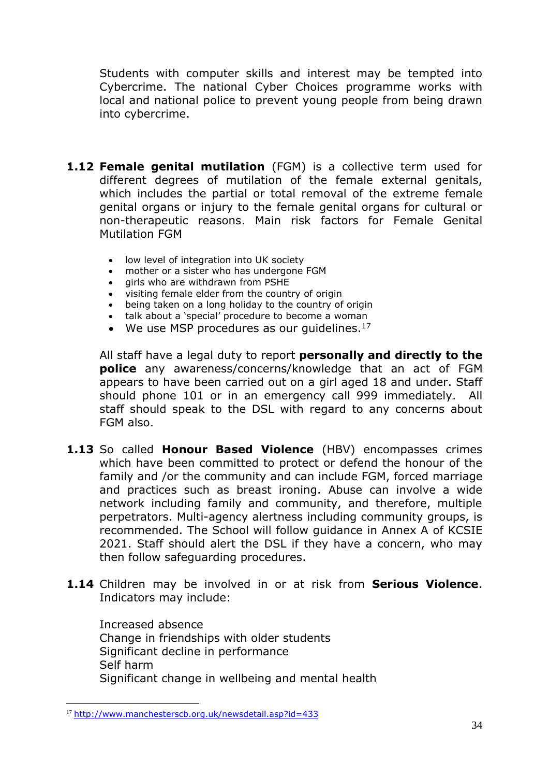Students with computer skills and interest may be tempted into Cybercrime. The national Cyber Choices programme works with local and national police to prevent young people from being drawn into cybercrime.

- **1.12 Female genital mutilation** (FGM) is a collective term used for different degrees of mutilation of the female external genitals, which includes the partial or total removal of the extreme female genital organs or injury to the female genital organs for cultural or non-therapeutic reasons. Main risk factors for Female Genital Mutilation FGM
	- low level of integration into UK society
	- mother or a sister who has undergone FGM
	- girls who are withdrawn from PSHE
	- visiting female elder from the country of origin
	- being taken on a long holiday to the country of origin
	- talk about a 'special' procedure to become a woman
	- We use MSP procedures as our quidelines. $17$

All staff have a legal duty to report **personally and directly to the police** any awareness/concerns/knowledge that an act of FGM appears to have been carried out on a girl aged 18 and under. Staff should phone 101 or in an emergency call 999 immediately. All staff should speak to the DSL with regard to any concerns about FGM also.

- **1.13** So called **Honour Based Violence** (HBV) encompasses crimes which have been committed to protect or defend the honour of the family and /or the community and can include FGM, forced marriage and practices such as breast ironing. Abuse can involve a wide network including family and community, and therefore, multiple perpetrators. Multi-agency alertness including community groups, is recommended. The School will follow guidance in Annex A of KCSIE 2021. Staff should alert the DSL if they have a concern, who may then follow safeguarding procedures.
- **1.14** Children may be involved in or at risk from **Serious Violence**. Indicators may include:

Increased absence Change in friendships with older students Significant decline in performance Self harm Significant change in wellbeing and mental health

<sup>17</sup> <http://www.manchesterscb.org.uk/newsdetail.asp?id=433>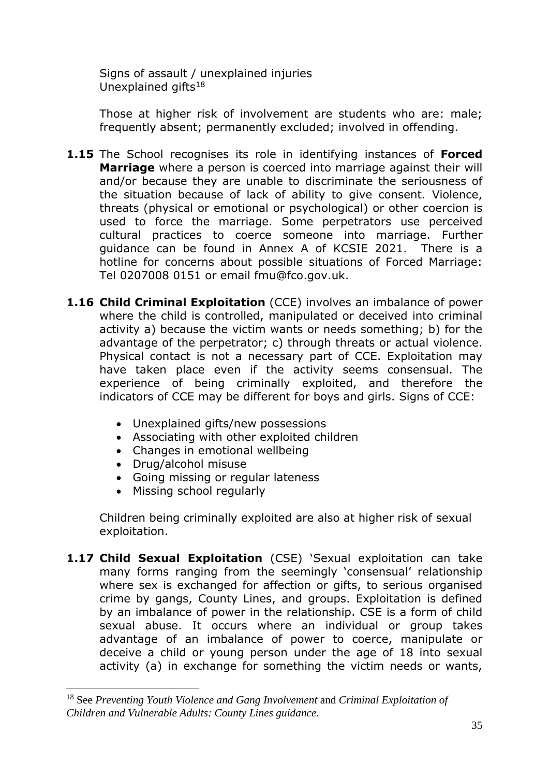Signs of assault / unexplained injuries Unexplained gifts<sup>18</sup>

Those at higher risk of involvement are students who are: male; frequently absent; permanently excluded; involved in offending.

- **1.15** The School recognises its role in identifying instances of **Forced Marriage** where a person is coerced into marriage against their will and/or because they are unable to discriminate the seriousness of the situation because of lack of ability to give consent. Violence, threats (physical or emotional or psychological) or other coercion is used to force the marriage. Some perpetrators use perceived cultural practices to coerce someone into marriage. Further guidance can be found in Annex A of KCSIE 2021. There is a hotline for concerns about possible situations of Forced Marriage: Tel 0207008 0151 or email fmu@fco.gov.uk.
- **1.16 Child Criminal Exploitation** (CCE) involves an imbalance of power where the child is controlled, manipulated or deceived into criminal activity a) because the victim wants or needs something; b) for the advantage of the perpetrator; c) through threats or actual violence. Physical contact is not a necessary part of CCE. Exploitation may have taken place even if the activity seems consensual. The experience of being criminally exploited, and therefore the indicators of CCE may be different for boys and girls. Signs of CCE:
	- Unexplained gifts/new possessions
	- Associating with other exploited children
	- Changes in emotional wellbeing
	- Drug/alcohol misuse
	- Going missing or regular lateness
	- Missing school regularly

Children being criminally exploited are also at higher risk of sexual exploitation.

1.17 **Child Sexual Exploitation** (CSE) 'Sexual exploitation can take many forms ranging from the seemingly 'consensual' relationship where sex is exchanged for affection or gifts, to serious organised crime by gangs, County Lines, and groups. Exploitation is defined by an imbalance of power in the relationship. CSE is a form of child sexual abuse. It occurs where an individual or group takes advantage of an imbalance of power to coerce, manipulate or deceive a child or young person under the age of 18 into sexual activity (a) in exchange for something the victim needs or wants,

<sup>18</sup> See *Preventing Youth Violence and Gang Involvement* and *Criminal Exploitation of Children and Vulnerable Adults: County Lines guidance*.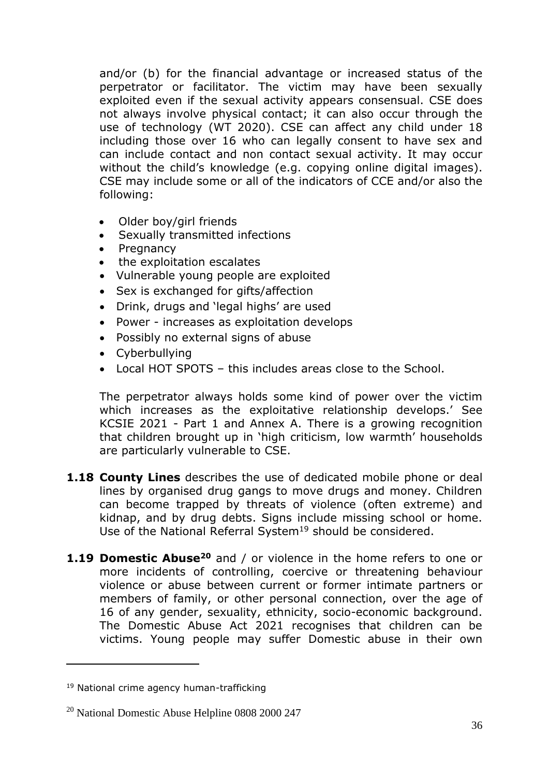and/or (b) for the financial advantage or increased status of the perpetrator or facilitator. The victim may have been sexually exploited even if the sexual activity appears consensual. CSE does not always involve physical contact; it can also occur through the use of technology (WT 2020). CSE can affect any child under 18 including those over 16 who can legally consent to have sex and can include contact and non contact sexual activity. It may occur without the child's knowledge (e.g. copying online digital images). CSE may include some or all of the indicators of CCE and/or also the following:

- Older boy/girl friends
- Sexually transmitted infections
- Pregnancy
- the exploitation escalates
- Vulnerable young people are exploited
- Sex is exchanged for gifts/affection
- Drink, drugs and 'legal highs' are used
- Power increases as exploitation develops
- Possibly no external signs of abuse
- Cyberbullying
- Local HOT SPOTS this includes areas close to the School.

The perpetrator always holds some kind of power over the victim which increases as the exploitative relationship develops.' See KCSIE 2021 - Part 1 and Annex A. There is a growing recognition that children brought up in 'high criticism, low warmth' households are particularly vulnerable to CSE.

- **1.18 County Lines** describes the use of dedicated mobile phone or deal lines by organised drug gangs to move drugs and money. Children can become trapped by threats of violence (often extreme) and kidnap, and by drug debts. Signs include missing school or home. Use of the National Referral System<sup>19</sup> should be considered.
- **1.19 Domestic Abuse<sup>20</sup>** and / or violence in the home refers to one or more incidents of controlling, coercive or threatening behaviour violence or abuse between current or former intimate partners or members of family, or other personal connection, over the age of 16 of any gender, sexuality, ethnicity, socio-economic background. The Domestic Abuse Act 2021 recognises that children can be victims. Young people may suffer Domestic abuse in their own

<sup>&</sup>lt;sup>19</sup> National crime agency human-trafficking

<sup>20</sup> National Domestic Abuse Helpline 0808 2000 247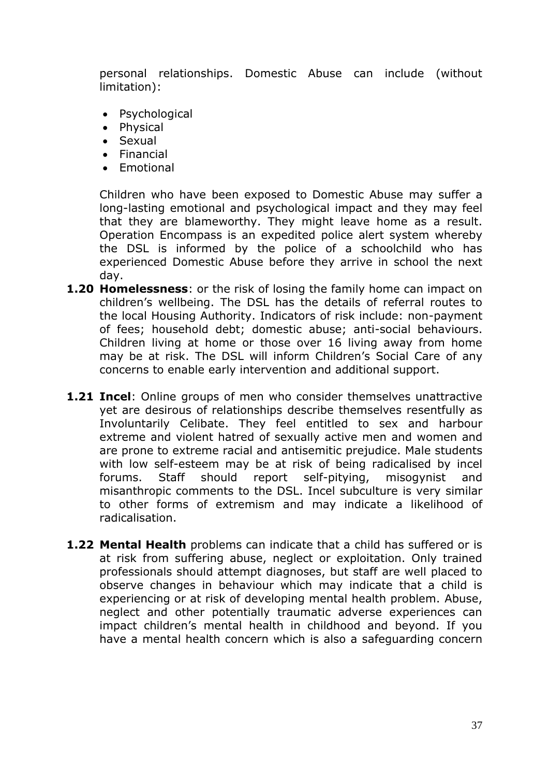personal relationships. Domestic Abuse can include (without limitation):

- Psychological
- Physical
- Sexual
- Financial
- Emotional

Children who have been exposed to Domestic Abuse may suffer a long-lasting emotional and psychological impact and they may feel that they are blameworthy. They might leave home as a result. Operation Encompass is an expedited police alert system whereby the DSL is informed by the police of a schoolchild who has experienced Domestic Abuse before they arrive in school the next day.

- **1.20 Homelessness**: or the risk of losing the family home can impact on children's wellbeing. The DSL has the details of referral routes to the local Housing Authority. Indicators of risk include: non-payment of fees; household debt; domestic abuse; anti-social behaviours. Children living at home or those over 16 living away from home may be at risk. The DSL will inform Children's Social Care of any concerns to enable early intervention and additional support.
- **1.21 Incel**: Online groups of men who consider themselves unattractive yet are desirous of relationships describe themselves resentfully as Involuntarily Celibate. They feel entitled to sex and harbour extreme and violent hatred of sexually active men and women and are prone to extreme racial and antisemitic prejudice. Male students with low self-esteem may be at risk of being radicalised by incel forums. Staff should report self-pitying, misogynist and misanthropic comments to the DSL. Incel subculture is very similar to other forms of extremism and may indicate a likelihood of radicalisation.
- **1.22 Mental Health** problems can indicate that a child has suffered or is at risk from suffering abuse, neglect or exploitation. Only trained professionals should attempt diagnoses, but staff are well placed to observe changes in behaviour which may indicate that a child is experiencing or at risk of developing mental health problem. Abuse, neglect and other potentially traumatic adverse experiences can impact children's mental health in childhood and beyond. If you have a mental health concern which is also a safeguarding concern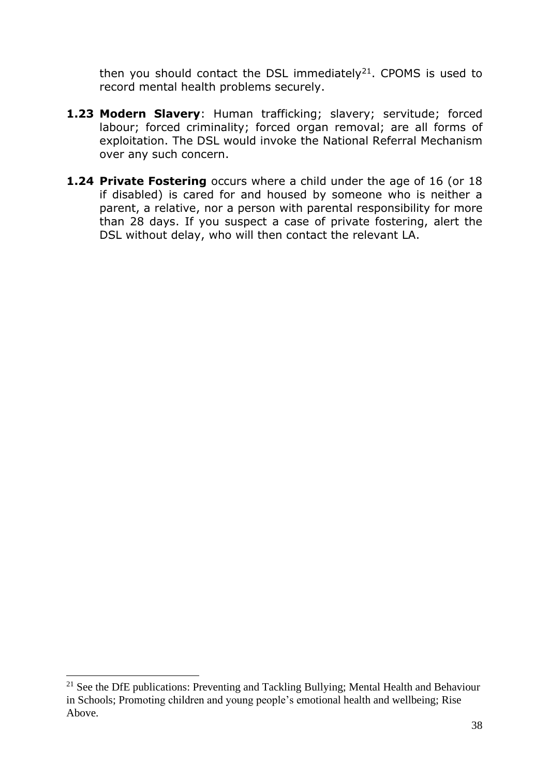then you should contact the DSL immediately<sup>21</sup>. CPOMS is used to record mental health problems securely.

- **1.23 Modern Slavery**: Human trafficking; slavery; servitude; forced labour; forced criminality; forced organ removal; are all forms of exploitation. The DSL would invoke the National Referral Mechanism over any such concern.
- **1.24 Private Fostering** occurs where a child under the age of 16 (or 18 if disabled) is cared for and housed by someone who is neither a parent, a relative, nor a person with parental responsibility for more than 28 days. If you suspect a case of private fostering, alert the DSL without delay, who will then contact the relevant LA.

<sup>&</sup>lt;sup>21</sup> See the DfE publications: Preventing and Tackling Bullying; Mental Health and Behaviour in Schools; Promoting children and young people's emotional health and wellbeing; Rise Above.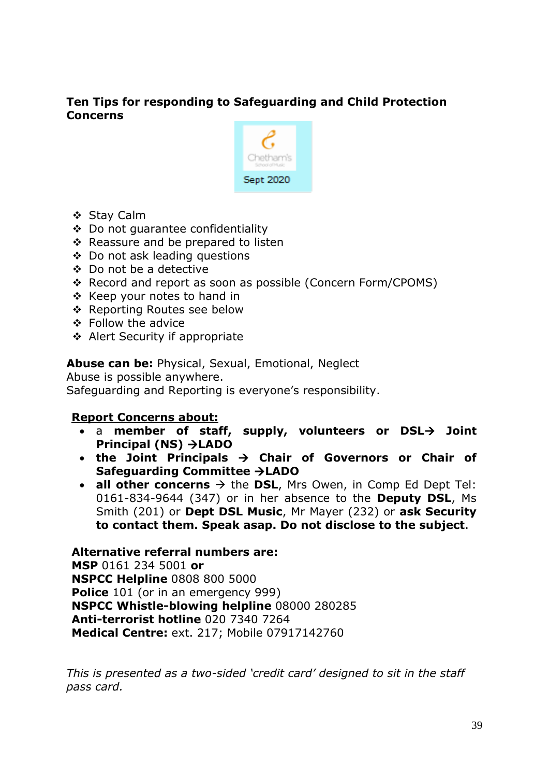## **Ten Tips for responding to Safeguarding and Child Protection Concerns**



- ❖ Stay Calm
- ❖ Do not guarantee confidentiality
- ❖ Reassure and be prepared to listen
- ❖ Do not ask leading questions
- ❖ Do not be a detective
- ❖ Record and report as soon as possible (Concern Form/CPOMS)
- ❖ Keep your notes to hand in
- ❖ Reporting Routes see below
- ❖ Follow the advice
- ❖ Alert Security if appropriate

**Abuse can be:** Physical, Sexual, Emotional, Neglect

Abuse is possible anywhere. Safeguarding and Reporting is everyone's responsibility.

#### **Report Concerns about:**

- a **member of staff, supply, volunteers or DSL**→ **Joint Principal (NS)** →**LADO**
- **the Joint Principals** → **Chair of Governors or Chair of Safeguarding Committee** →**LADO**
- **all other concerns**  $\rightarrow$  the **DSL**, Mrs Owen, in Comp Ed Dept Tel: 0161-834-9644 (347) or in her absence to the **Deputy DSL**, Ms Smith (201) or **Dept DSL Music**, Mr Mayer (232) or **ask Security to contact them. Speak asap. Do not disclose to the subject**.

**Alternative referral numbers are: MSP** 0161 234 5001 **or NSPCC Helpline** 0808 800 5000 **Police** 101 (or in an emergency 999) **NSPCC Whistle-blowing helpline** 08000 280285 **Anti-terrorist hotline** 020 7340 7264 **Medical Centre:** ext. 217; Mobile 07917142760

*This is presented as a two-sided 'credit card' designed to sit in the staff pass card.*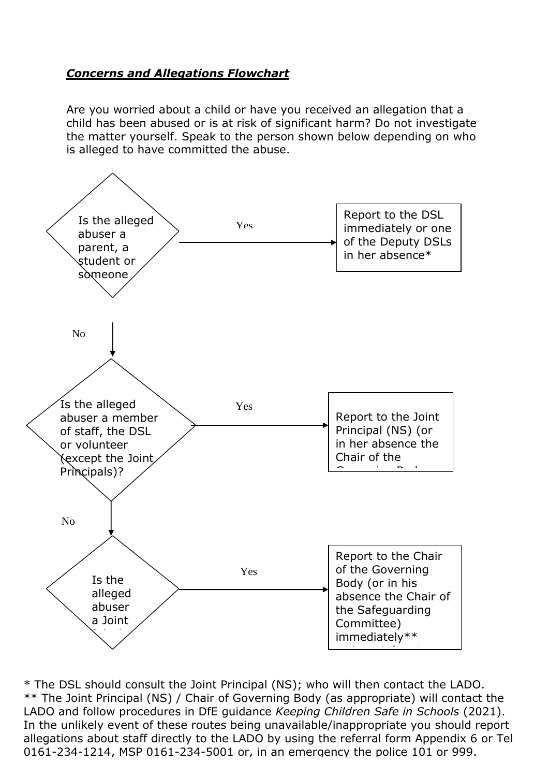## *Concerns and Allegations Flowchart*

Are you worried about a child or have you received an allegation that a child has been abused or is at risk of significant harm? Do not investigate the matter yourself. Speak to the person shown below depending on who is alleged to have committed the abuse.



In the unlikely event of these routes being unavailable/inappropriate you should report \* The DSL should consult the Joint Principal (NS); who will then contact the LADO. \*\* The Joint Principal (NS) / Chair of Governing Body (as appropriate) will contact the LADO and follow procedures in DfE guidance *Keeping Children Safe in Schools* (2021). allegations about staff directly to the LADO by using the referral form Appendix 6 or Tel 0161-234-1214, MSP 0161-234-5001 or, in an emergency the police 101 or 999. question.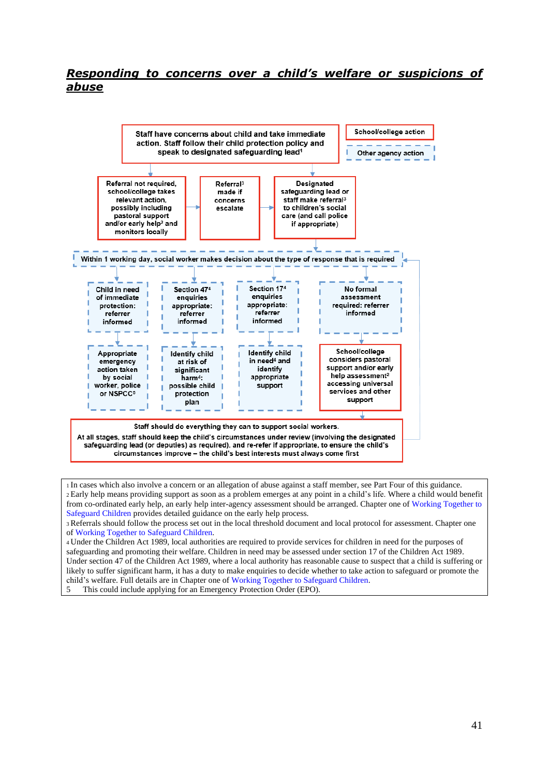#### *Responding to concerns over a child's welfare or suspicions of abuse*



<sup>1</sup>In cases which also involve a concern or an allegation of abuse against a staff member, see Part Four of this guidance. <sup>2</sup> Early help means providing support as soon as a problem emerges at any point in a child's life. Where a child would benefit from co-ordinated early help, an early help inter-agency assessment should be arranged. Chapter one of Working Together to Safeguard Children provides detailed guidance on the early help process.

<sup>3</sup>Referrals should follow the process set out in the local threshold document and local protocol for assessment. Chapter one of Working Together to Safeguard Children.

<sup>4</sup>Under the Children Act 1989, local authorities are required to provide services for children in need for the purposes of safeguarding and promoting their welfare. Children in need may be assessed under section 17 of the Children Act 1989. Under section 47 of the Children Act 1989, where a local authority has reasonable cause to suspect that a child is suffering or likely to suffer significant harm, it has a duty to make enquiries to decide whether to take action to safeguard or promote the child's welfare. Full details are in Chapter one of Working Together to Safeguard Children.

5 This could include applying for an Emergency Protection Order (EPO).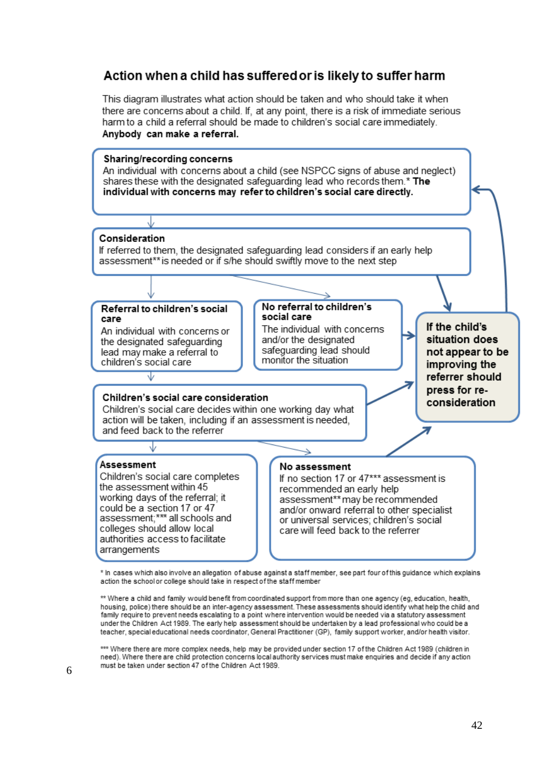## Action when a child has suffered or is likely to suffer harm

This diagram illustrates what action should be taken and who should take it when there are concerns about a child. If, at any point, there is a risk of immediate serious harm to a child a referral should be made to children's social care immediately. Anybody can make a referral.



\* In cases which also involve an allegation of abuse against a staff member, see part four of this quidance which explains action the school or college should take in respect of the staff member

\*\* Where a child and family would benefit from coordinated support from more than one agency (eg, education, health, housing, police) there should be an inter-agency assessment. These assessments should identify what help the child and family require to prevent needs escalating to a point where intervention would be needed via a statutory assessment under the Children Act 1989. The early help assessment should be undertaken by a lead professional who could be a teacher, special educational needs coordinator, General Practitioner (GP), family support worker, and/or health visitor.

\*\*\* Where there are more complex needs, help may be provided under section 17 of the Children Act 1989 (children in need). Where there are child protection concerns local authority services must make enquiries and decide if any action must be taken under section 47 of the Children Act 1989.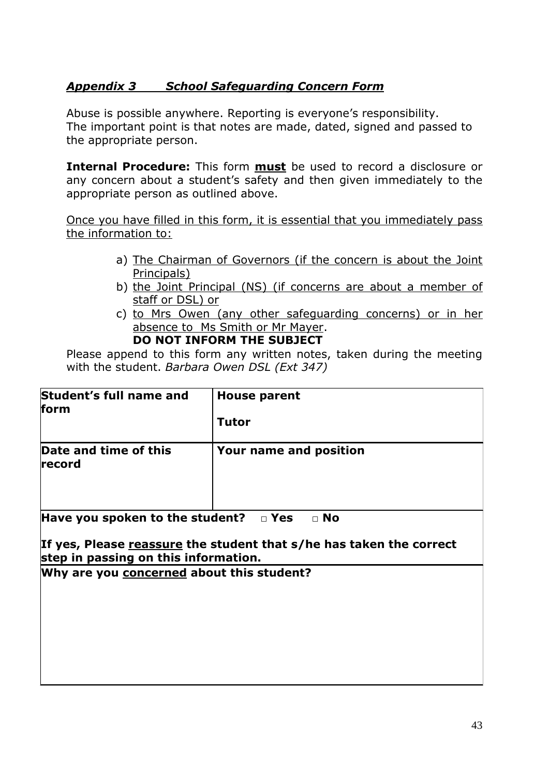## *Appendix 3 School Safeguarding Concern Form*

Abuse is possible anywhere. Reporting is everyone's responsibility. The important point is that notes are made, dated, signed and passed to the appropriate person.

**Internal Procedure:** This form **must** be used to record a disclosure or any concern about a student's safety and then given immediately to the appropriate person as outlined above.

Once you have filled in this form, it is essential that you immediately pass the information to:

- a) The Chairman of Governors (if the concern is about the Joint Principals)
- b) the Joint Principal (NS) (if concerns are about a member of staff or DSL) or
- c) to Mrs Owen (any other safeguarding concerns) or in her absence to Ms Smith or Mr Mayer.

#### **DO NOT INFORM THE SUBJECT**

Please append to this form any written notes, taken during the meeting with the student. *Barbara Owen DSL (Ext 347)*

| Student's full name and<br>form | <b>House parent</b>    |
|---------------------------------|------------------------|
|                                 | <b>Tutor</b>           |
| Date and time of this<br>record | Your name and position |

**Have you spoken to the student? □ Yes □ No**

#### **If yes, Please reassure the student that s/he has taken the correct step in passing on this information.**

**Why are you concerned about this student?**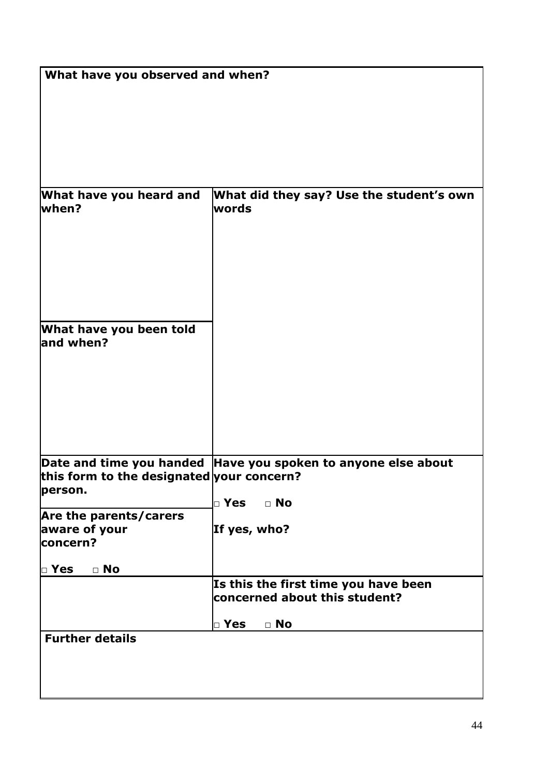|                                           | What have you observed and when?                                      |  |  |
|-------------------------------------------|-----------------------------------------------------------------------|--|--|
|                                           |                                                                       |  |  |
|                                           |                                                                       |  |  |
|                                           |                                                                       |  |  |
|                                           |                                                                       |  |  |
|                                           |                                                                       |  |  |
| What have you heard and                   | What did they say? Use the student's own                              |  |  |
| when?                                     | words                                                                 |  |  |
|                                           |                                                                       |  |  |
|                                           |                                                                       |  |  |
|                                           |                                                                       |  |  |
|                                           |                                                                       |  |  |
|                                           |                                                                       |  |  |
|                                           |                                                                       |  |  |
| What have you been told<br>and when?      |                                                                       |  |  |
|                                           |                                                                       |  |  |
|                                           |                                                                       |  |  |
|                                           |                                                                       |  |  |
|                                           |                                                                       |  |  |
|                                           |                                                                       |  |  |
|                                           |                                                                       |  |  |
|                                           | Date and time you handed Have you spoken to anyone else about         |  |  |
| this form to the designated your concern? |                                                                       |  |  |
| person.                                   | $\mathsf{\Gamma}$ Yes<br>$\Box$ No                                    |  |  |
| Are the parents/carers                    |                                                                       |  |  |
| aware of your<br>concern?                 | If yes, who?                                                          |  |  |
|                                           |                                                                       |  |  |
| $\mathsf{L}$ Yes<br>$\Box$ No             |                                                                       |  |  |
|                                           | Is this the first time you have been<br>concerned about this student? |  |  |
|                                           |                                                                       |  |  |
|                                           | $\Box$ Yes<br>$\Box$ No                                               |  |  |
| <b>Further details</b>                    |                                                                       |  |  |
|                                           |                                                                       |  |  |
|                                           |                                                                       |  |  |
|                                           |                                                                       |  |  |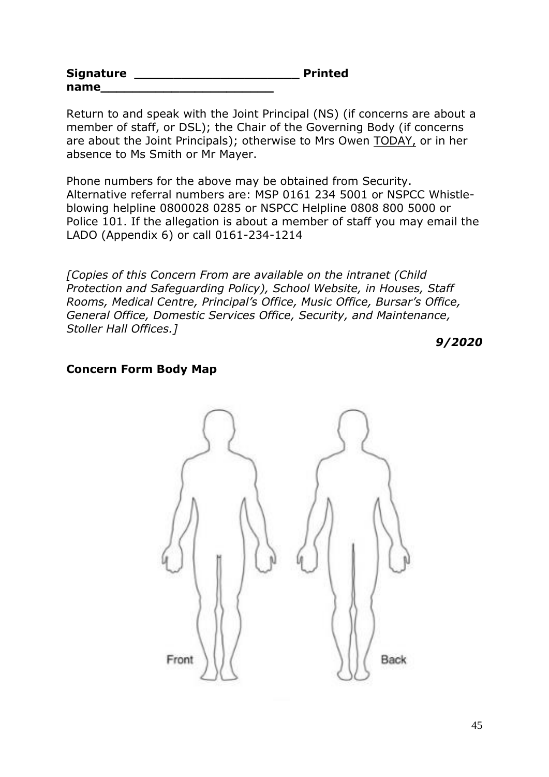| <b>Signature</b> | <b>Printed</b> |
|------------------|----------------|
| name             |                |

Return to and speak with the Joint Principal (NS) (if concerns are about a member of staff, or DSL); the Chair of the Governing Body (if concerns are about the Joint Principals); otherwise to Mrs Owen TODAY, or in her absence to Ms Smith or Mr Mayer.

Phone numbers for the above may be obtained from Security. Alternative referral numbers are: MSP 0161 234 5001 or NSPCC Whistleblowing helpline 0800028 0285 or NSPCC Helpline 0808 800 5000 or Police 101. If the allegation is about a member of staff you may email the LADO (Appendix 6) or call 0161-234-1214

*[Copies of this Concern From are available on the intranet (Child Protection and Safeguarding Policy), School Website, in Houses, Staff Rooms, Medical Centre, Principal's Office, Music Office, Bursar's Office, General Office, Domestic Services Office, Security, and Maintenance, Stoller Hall Offices.]*

*9/2020*

#### **Concern Form Body Map**

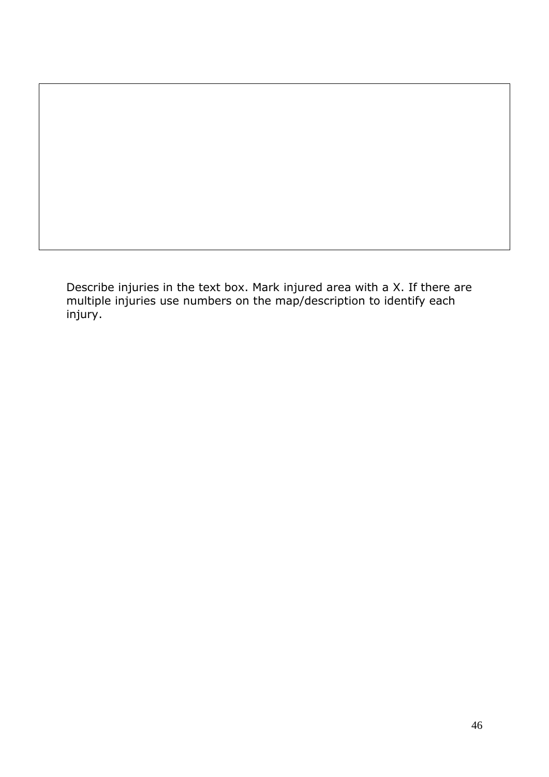Describe injuries in the text box. Mark injured area with a X. If there are multiple injuries use numbers on the map/description to identify each injury.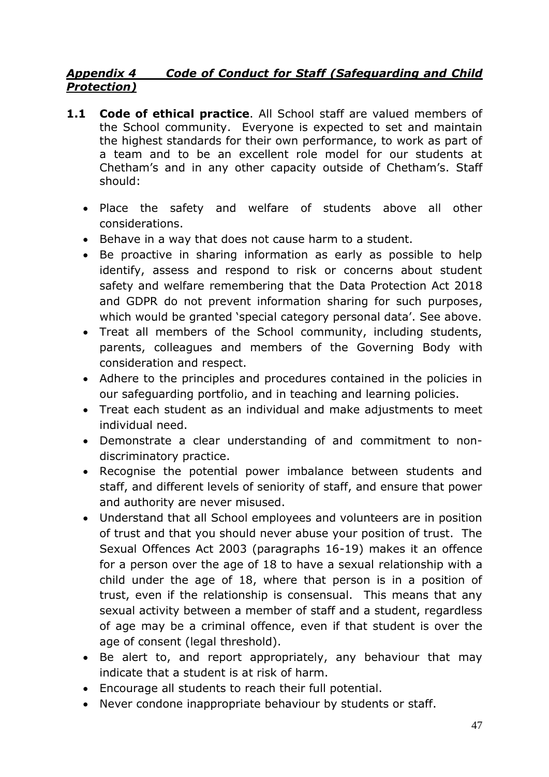## *Appendix 4 Code of Conduct for Staff (Safeguarding and Child Protection)*

- **1.1 Code of ethical practice**. All School staff are valued members of the School community. Everyone is expected to set and maintain the highest standards for their own performance, to work as part of a team and to be an excellent role model for our students at Chetham's and in any other capacity outside of Chetham's. Staff should:
	- Place the safety and welfare of students above all other considerations.
	- Behave in a way that does not cause harm to a student.
	- Be proactive in sharing information as early as possible to help identify, assess and respond to risk or concerns about student safety and welfare remembering that the Data Protection Act 2018 and GDPR do not prevent information sharing for such purposes, which would be granted 'special category personal data'. See above.
	- Treat all members of the School community, including students, parents, colleagues and members of the Governing Body with consideration and respect.
	- Adhere to the principles and procedures contained in the policies in our safeguarding portfolio, and in teaching and learning policies.
	- Treat each student as an individual and make adjustments to meet individual need.
	- Demonstrate a clear understanding of and commitment to nondiscriminatory practice.
	- Recognise the potential power imbalance between students and staff, and different levels of seniority of staff, and ensure that power and authority are never misused.
	- Understand that all School employees and volunteers are in position of trust and that you should never abuse your position of trust. The Sexual Offences Act 2003 (paragraphs 16-19) makes it an offence for a person over the age of 18 to have a sexual relationship with a child under the age of 18, where that person is in a position of trust, even if the relationship is consensual. This means that any sexual activity between a member of staff and a student, regardless of age may be a criminal offence, even if that student is over the age of consent (legal threshold).
	- Be alert to, and report appropriately, any behaviour that may indicate that a student is at risk of harm.
	- Encourage all students to reach their full potential.
	- Never condone inappropriate behaviour by students or staff.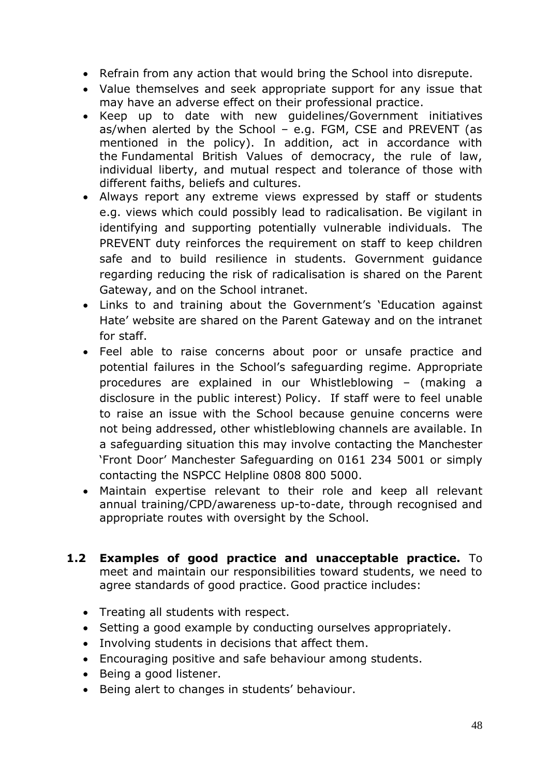- Refrain from any action that would bring the School into disrepute.
- Value themselves and seek appropriate support for any issue that may have an adverse effect on their professional practice.
- Keep up to date with new guidelines/Government initiatives as/when alerted by the School – e.g. FGM, CSE and PREVENT (as mentioned in the policy). In addition, act in accordance with the Fundamental British Values of democracy, the rule of law, individual liberty, and mutual respect and tolerance of those with different faiths, beliefs and cultures.
- Always report any extreme views expressed by staff or students e.g. views which could possibly lead to radicalisation. Be vigilant in identifying and supporting potentially vulnerable individuals. The PREVENT duty reinforces the requirement on staff to keep children safe and to build resilience in students. Government guidance regarding reducing the risk of radicalisation is shared on the Parent Gateway, and on the School intranet.
- Links to and training about the Government's 'Education against Hate' website are shared on the Parent Gateway and on the intranet for staff.
- Feel able to raise concerns about poor or unsafe practice and potential failures in the School's safeguarding regime. Appropriate procedures are explained in our Whistleblowing – (making a disclosure in the public interest) Policy. If staff were to feel unable to raise an issue with the School because genuine concerns were not being addressed, other whistleblowing channels are available. In a safeguarding situation this may involve contacting the Manchester 'Front Door' Manchester Safeguarding on 0161 234 5001 or simply contacting the NSPCC Helpline 0808 800 5000.
- Maintain expertise relevant to their role and keep all relevant annual training/CPD/awareness up-to-date, through recognised and appropriate routes with oversight by the School.
- **1.2 Examples of good practice and unacceptable practice.** To meet and maintain our responsibilities toward students, we need to agree standards of good practice. Good practice includes:
	- Treating all students with respect.
	- Setting a good example by conducting ourselves appropriately.
	- Involving students in decisions that affect them.
	- Encouraging positive and safe behaviour among students.
	- Being a good listener.
	- Being alert to changes in students' behaviour.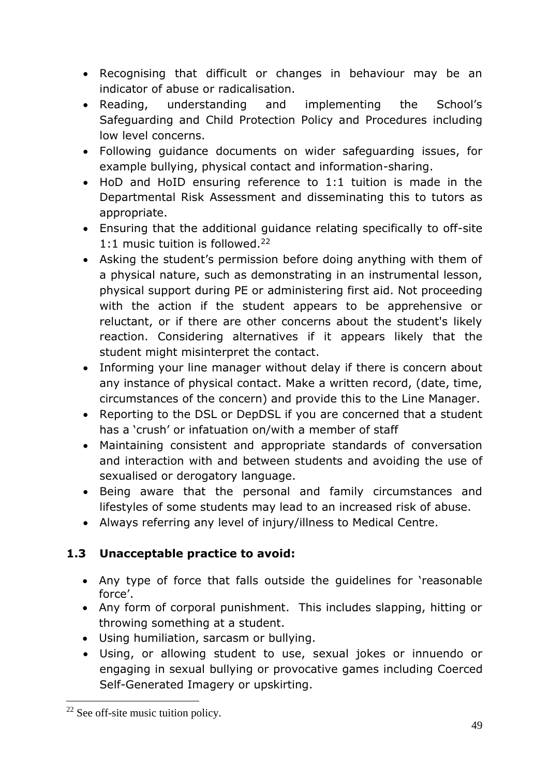- Recognising that difficult or changes in behaviour may be an indicator of abuse or radicalisation.
- Reading, understanding and implementing the School's Safeguarding and Child Protection Policy and Procedures including low level concerns.
- Following guidance documents on wider safeguarding issues, for example bullying, physical contact and information-sharing.
- HoD and HoID ensuring reference to 1:1 tuition is made in the Departmental Risk Assessment and disseminating this to tutors as appropriate.
- Ensuring that the additional guidance relating specifically to off-site 1:1 music tuition is followed.<sup>22</sup>
- Asking the student's permission before doing anything with them of a physical nature, such as demonstrating in an instrumental lesson, physical support during PE or administering first aid. Not proceeding with the action if the student appears to be apprehensive or reluctant, or if there are other concerns about the student's likely reaction. Considering alternatives if it appears likely that the student might misinterpret the contact.
- Informing your line manager without delay if there is concern about any instance of physical contact. Make a written record, (date, time, circumstances of the concern) and provide this to the Line Manager.
- Reporting to the DSL or DepDSL if you are concerned that a student has a 'crush' or infatuation on/with a member of staff
- Maintaining consistent and appropriate standards of conversation and interaction with and between students and avoiding the use of sexualised or derogatory language.
- Being aware that the personal and family circumstances and lifestyles of some students may lead to an increased risk of abuse.
- Always referring any level of injury/illness to Medical Centre.

# **1.3 Unacceptable practice to avoid:**

- Any type of force that falls outside the guidelines for 'reasonable force'.
- Any form of corporal punishment. This includes slapping, hitting or throwing something at a student.
- Using humiliation, sarcasm or bullying.
- Using, or allowing student to use, sexual jokes or innuendo or engaging in sexual bullying or provocative games including Coerced Self-Generated Imagery or upskirting.

<sup>22</sup> See off-site music tuition policy.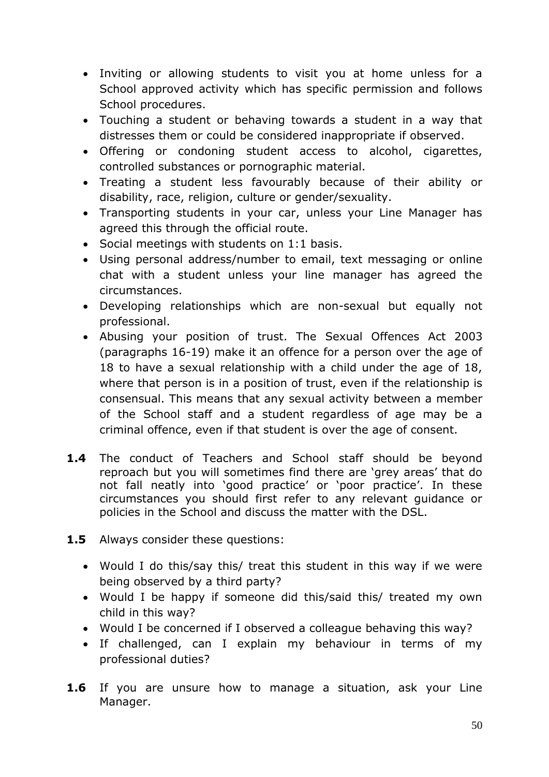- Inviting or allowing students to visit you at home unless for a School approved activity which has specific permission and follows School procedures.
- Touching a student or behaving towards a student in a way that distresses them or could be considered inappropriate if observed.
- Offering or condoning student access to alcohol, cigarettes, controlled substances or pornographic material.
- Treating a student less favourably because of their ability or disability, race, religion, culture or gender/sexuality.
- Transporting students in your car, unless your Line Manager has agreed this through the official route.
- Social meetings with students on 1:1 basis.
- Using personal address/number to email, text messaging or online chat with a student unless your line manager has agreed the circumstances.
- Developing relationships which are non-sexual but equally not professional.
- Abusing your position of trust. The Sexual Offences Act 2003 (paragraphs 16-19) make it an offence for a person over the age of 18 to have a sexual relationship with a child under the age of 18, where that person is in a position of trust, even if the relationship is consensual. This means that any sexual activity between a member of the School staff and a student regardless of age may be a criminal offence, even if that student is over the age of consent.
- **1.4** The conduct of Teachers and School staff should be beyond reproach but you will sometimes find there are 'grey areas' that do not fall neatly into 'good practice' or 'poor practice'. In these circumstances you should first refer to any relevant guidance or policies in the School and discuss the matter with the DSL.
- **1.5** Always consider these questions:
	- Would I do this/say this/ treat this student in this way if we were being observed by a third party?
	- Would I be happy if someone did this/said this/ treated my own child in this way?
	- Would I be concerned if I observed a colleague behaving this way?
	- If challenged, can I explain my behaviour in terms of my professional duties?
- **1.6** If you are unsure how to manage a situation, ask your Line Manager.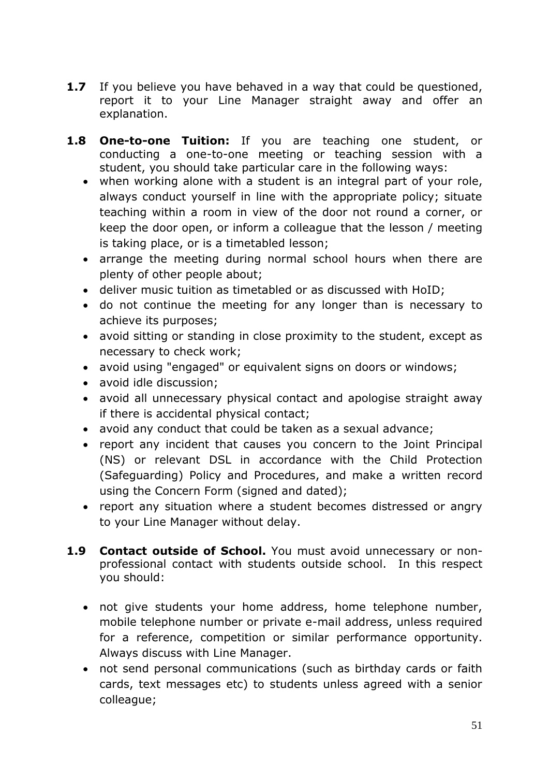- **1.7** If you believe you have behaved in a way that could be questioned, report it to your Line Manager straight away and offer an explanation.
- **1.8 One-to-one Tuition:** If you are teaching one student, or conducting a one-to-one meeting or teaching session with a student, you should take particular care in the following ways:
	- when working alone with a student is an integral part of your role, always conduct yourself in line with the appropriate policy; situate teaching within a room in view of the door not round a corner, or keep the door open, or inform a colleague that the lesson / meeting is taking place, or is a timetabled lesson;
	- arrange the meeting during normal school hours when there are plenty of other people about;
	- deliver music tuition as timetabled or as discussed with HoID;
	- do not continue the meeting for any longer than is necessary to achieve its purposes;
	- avoid sitting or standing in close proximity to the student, except as necessary to check work;
	- avoid using "engaged" or equivalent signs on doors or windows;
	- avoid idle discussion;
	- avoid all unnecessary physical contact and apologise straight away if there is accidental physical contact;
	- avoid any conduct that could be taken as a sexual advance;
	- report any incident that causes you concern to the Joint Principal (NS) or relevant DSL in accordance with the Child Protection (Safeguarding) Policy and Procedures, and make a written record using the Concern Form (signed and dated);
	- report any situation where a student becomes distressed or angry to your Line Manager without delay.
- **1.9 Contact outside of School.** You must avoid unnecessary or nonprofessional contact with students outside school. In this respect you should:
	- not give students your home address, home telephone number, mobile telephone number or private e-mail address, unless required for a reference, competition or similar performance opportunity. Always discuss with Line Manager.
	- not send personal communications (such as birthday cards or faith cards, text messages etc) to students unless agreed with a senior colleague;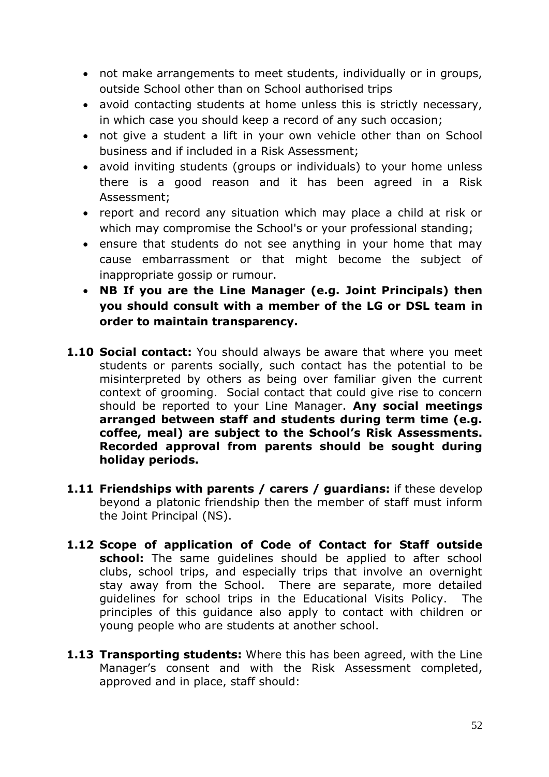- not make arrangements to meet students, individually or in groups, outside School other than on School authorised trips
- avoid contacting students at home unless this is strictly necessary, in which case you should keep a record of any such occasion;
- not give a student a lift in your own vehicle other than on School business and if included in a Risk Assessment;
- avoid inviting students (groups or individuals) to your home unless there is a good reason and it has been agreed in a Risk Assessment;
- report and record any situation which may place a child at risk or which may compromise the School's or your professional standing;
- ensure that students do not see anything in your home that may cause embarrassment or that might become the subject of inappropriate gossip or rumour.
- **NB If you are the Line Manager (e.g. Joint Principals) then you should consult with a member of the LG or DSL team in order to maintain transparency.**
- **1.10 Social contact:** You should always be aware that where you meet students or parents socially, such contact has the potential to be misinterpreted by others as being over familiar given the current context of grooming. Social contact that could give rise to concern should be reported to your Line Manager. **Any social meetings arranged between staff and students during term time (e.g. coffee, meal) are subject to the School's Risk Assessments. Recorded approval from parents should be sought during holiday periods.**
- **1.11 Friendships with parents / carers / guardians:** if these develop beyond a platonic friendship then the member of staff must inform the Joint Principal (NS).
- **1.12 Scope of application of Code of Contact for Staff outside school:** The same guidelines should be applied to after school clubs, school trips, and especially trips that involve an overnight stay away from the School. There are separate, more detailed guidelines for school trips in the Educational Visits Policy. The principles of this guidance also apply to contact with children or young people who are students at another school.
- **1.13 Transporting students:** Where this has been agreed, with the Line Manager's consent and with the Risk Assessment completed, approved and in place, staff should: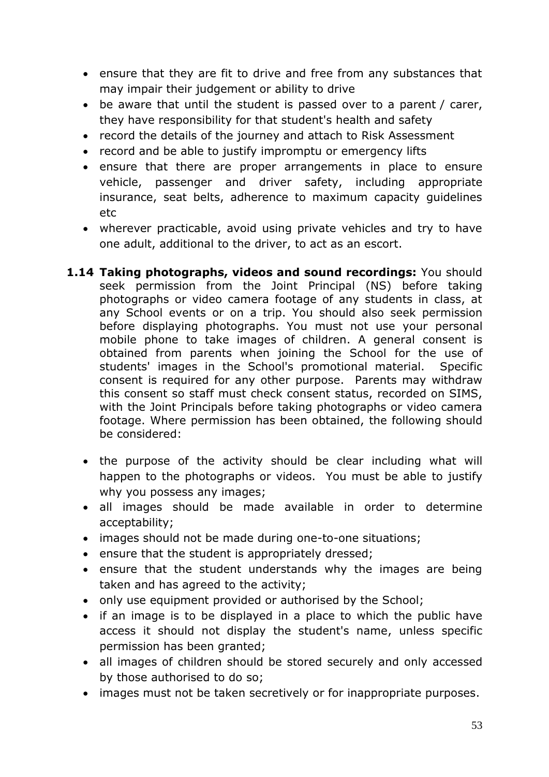- ensure that they are fit to drive and free from any substances that may impair their judgement or ability to drive
- be aware that until the student is passed over to a parent / carer, they have responsibility for that student's health and safety
- record the details of the journey and attach to Risk Assessment
- record and be able to justify impromptu or emergency lifts
- ensure that there are proper arrangements in place to ensure vehicle, passenger and driver safety, including appropriate insurance, seat belts, adherence to maximum capacity guidelines etc
- wherever practicable, avoid using private vehicles and try to have one adult, additional to the driver, to act as an escort.
- **1.14 Taking photographs, videos and sound recordings:** You should seek permission from the Joint Principal (NS) before taking photographs or video camera footage of any students in class, at any School events or on a trip. You should also seek permission before displaying photographs. You must not use your personal mobile phone to take images of children. A general consent is obtained from parents when joining the School for the use of students' images in the School's promotional material. Specific consent is required for any other purpose. Parents may withdraw this consent so staff must check consent status, recorded on SIMS, with the Joint Principals before taking photographs or video camera footage. Where permission has been obtained, the following should be considered:
	- the purpose of the activity should be clear including what will happen to the photographs or videos. You must be able to justify why you possess any images;
	- all images should be made available in order to determine acceptability;
	- images should not be made during one-to-one situations;
	- ensure that the student is appropriately dressed;
	- ensure that the student understands why the images are being taken and has agreed to the activity;
	- only use equipment provided or authorised by the School;
	- if an image is to be displayed in a place to which the public have access it should not display the student's name, unless specific permission has been granted;
	- all images of children should be stored securely and only accessed by those authorised to do so;
	- images must not be taken secretively or for inappropriate purposes.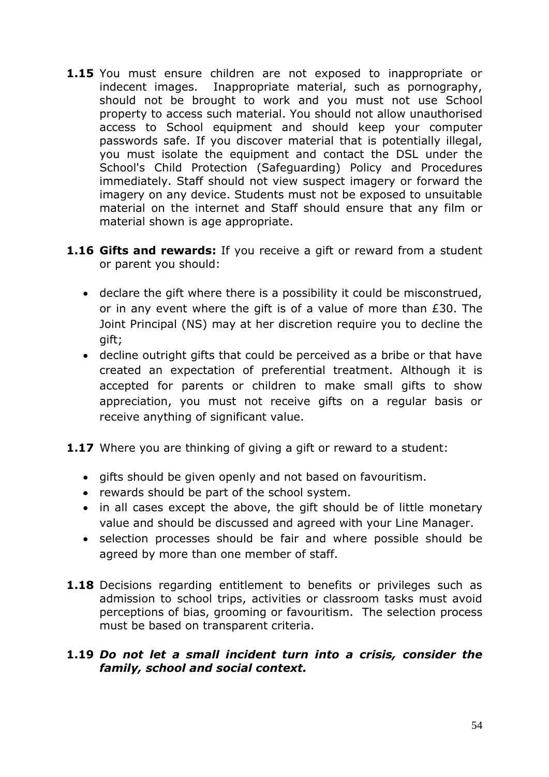- **1.15** You must ensure children are not exposed to inappropriate or indecent images. Inappropriate material, such as pornography, should not be brought to work and you must not use School property to access such material. You should not allow unauthorised access to School equipment and should keep your computer passwords safe. If you discover material that is potentially illegal, you must isolate the equipment and contact the DSL under the School's Child Protection (Safeguarding) Policy and Procedures immediately. Staff should not view suspect imagery or forward the imagery on any device. Students must not be exposed to unsuitable material on the internet and Staff should ensure that any film or material shown is age appropriate.
- **1.16 Gifts and rewards:** If you receive a gift or reward from a student or parent you should:
	- declare the gift where there is a possibility it could be misconstrued, or in any event where the gift is of a value of more than £30. The Joint Principal (NS) may at her discretion require you to decline the gift;
	- decline outright gifts that could be perceived as a bribe or that have created an expectation of preferential treatment. Although it is accepted for parents or children to make small gifts to show appreciation, you must not receive gifts on a regular basis or receive anything of significant value.
- **1.17** Where you are thinking of giving a gift or reward to a student:
	- gifts should be given openly and not based on favouritism.
	- rewards should be part of the school system.
	- in all cases except the above, the gift should be of little monetary value and should be discussed and agreed with your Line Manager.
	- selection processes should be fair and where possible should be agreed by more than one member of staff.
- **1.18** Decisions regarding entitlement to benefits or privileges such as admission to school trips, activities or classroom tasks must avoid perceptions of bias, grooming or favouritism. The selection process must be based on transparent criteria.

### **1.19** *Do not let a small incident turn into a crisis, consider the family, school and social context.*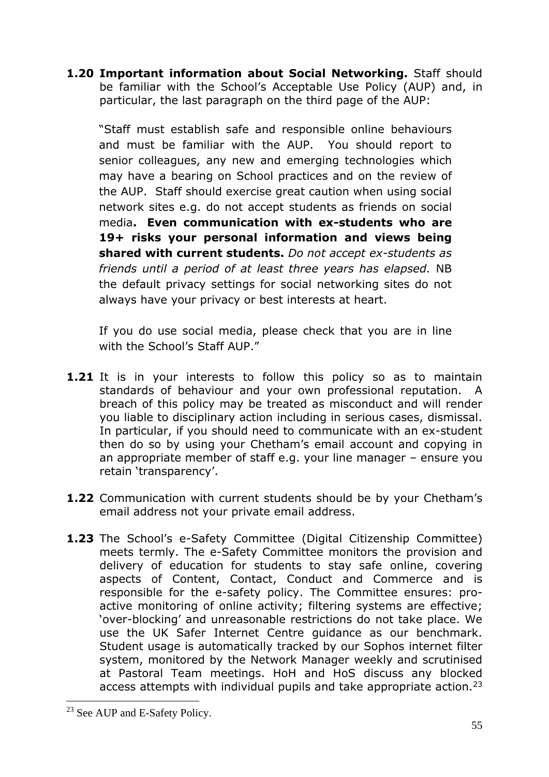**1.20 Important information about Social Networking.** Staff should be familiar with the School's Acceptable Use Policy (AUP) and, in particular, the last paragraph on the third page of the AUP:

"Staff must establish safe and responsible online behaviours and must be familiar with the AUP. You should report to senior colleagues, any new and emerging technologies which may have a bearing on School practices and on the review of the AUP. Staff should exercise great caution when using social network sites e.g. do not accept students as friends on social media**. Even communication with ex-students who are 19+ risks your personal information and views being shared with current students.** *Do not accept ex-students as friends until a period of at least three years has elapsed.* NB the default privacy settings for social networking sites do not always have your privacy or best interests at heart.

If you do use social media, please check that you are in line with the School's Staff AUP."

- **1.21** It is in your interests to follow this policy so as to maintain standards of behaviour and your own professional reputation. A breach of this policy may be treated as misconduct and will render you liable to disciplinary action including in serious cases, dismissal. In particular, if you should need to communicate with an ex-student then do so by using your Chetham's email account and copying in an appropriate member of staff e.g. your line manager – ensure you retain 'transparency'.
- **1.22** Communication with current students should be by your Chetham's email address not your private email address.
- **1.23** The School's e-Safety Committee (Digital Citizenship Committee) meets termly. The e-Safety Committee monitors the provision and delivery of education for students to stay safe online, covering aspects of Content, Contact, Conduct and Commerce and is responsible for the e-safety policy. The Committee ensures: proactive monitoring of online activity; filtering systems are effective; 'over-blocking' and unreasonable restrictions do not take place. We use the UK Safer Internet Centre guidance as our benchmark. Student usage is automatically tracked by our Sophos internet filter system, monitored by the Network Manager weekly and scrutinised at Pastoral Team meetings. HoH and HoS discuss any blocked access attempts with individual pupils and take appropriate action.<sup>23</sup>

<sup>&</sup>lt;sup>23</sup> See AUP and E-Safety Policy.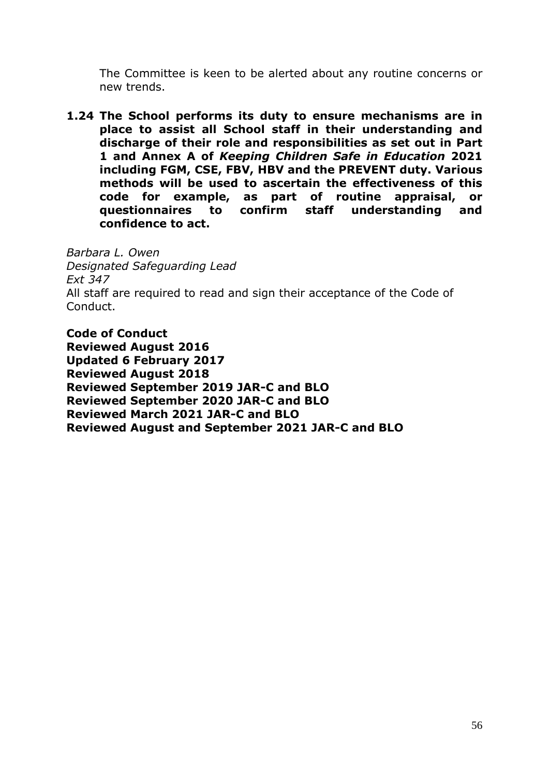The Committee is keen to be alerted about any routine concerns or new trends.

**1.24 The School performs its duty to ensure mechanisms are in place to assist all School staff in their understanding and discharge of their role and responsibilities as set out in Part 1 and Annex A of** *Keeping Children Safe in Education* **2021 including FGM, CSE, FBV, HBV and the PREVENT duty. Various methods will be used to ascertain the effectiveness of this code for example, as part of routine appraisal, or questionnaires to confirm staff understanding and confidence to act.** 

*Barbara L. Owen Designated Safeguarding Lead Ext 347* All staff are required to read and sign their acceptance of the Code of Conduct.

**Code of Conduct Reviewed August 2016 Updated 6 February 2017 Reviewed August 2018 Reviewed September 2019 JAR-C and BLO Reviewed September 2020 JAR-C and BLO Reviewed March 2021 JAR-C and BLO Reviewed August and September 2021 JAR-C and BLO**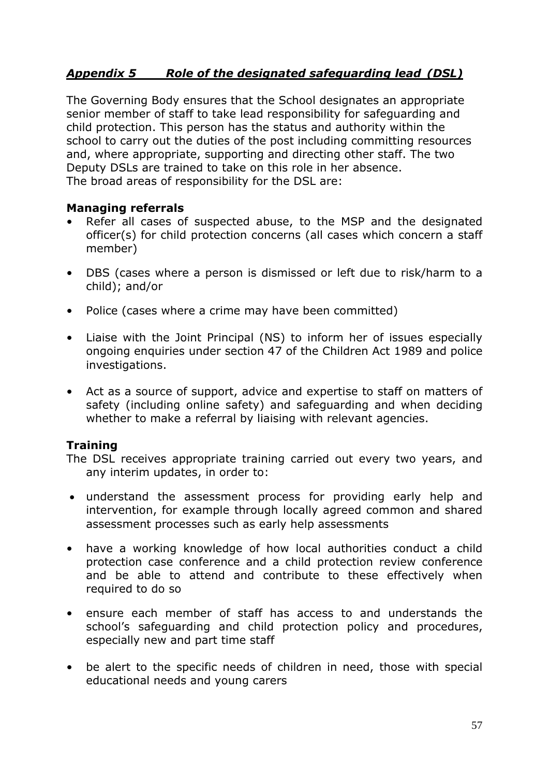## *Appendix 5 Role of the designated safeguarding lead (DSL)*

The Governing Body ensures that the School designates an appropriate senior member of staff to take lead responsibility for safeguarding and child protection. This person has the status and authority within the school to carry out the duties of the post including committing resources and, where appropriate, supporting and directing other staff. The two Deputy DSLs are trained to take on this role in her absence. The broad areas of responsibility for the DSL are:

#### **Managing referrals**

- Refer all cases of suspected abuse, to the MSP and the designated officer(s) for child protection concerns (all cases which concern a staff member)
- DBS (cases where a person is dismissed or left due to risk/harm to a child); and/or
- Police (cases where a crime may have been committed)
- Liaise with the Joint Principal (NS) to inform her of issues especially ongoing enquiries under section 47 of the Children Act 1989 and police investigations.
- Act as a source of support, advice and expertise to staff on matters of safety (including online safety) and safeguarding and when deciding whether to make a referral by liaising with relevant agencies.

#### **Training**

The DSL receives appropriate training carried out every two years, and any interim updates, in order to:

- understand the assessment process for providing early help and intervention, for example through locally agreed common and shared assessment processes such as early help assessments
- have a working knowledge of how local authorities conduct a child protection case conference and a child protection review conference and be able to attend and contribute to these effectively when required to do so
- ensure each member of staff has access to and understands the school's safeguarding and child protection policy and procedures, especially new and part time staff
- be alert to the specific needs of children in need, those with special educational needs and young carers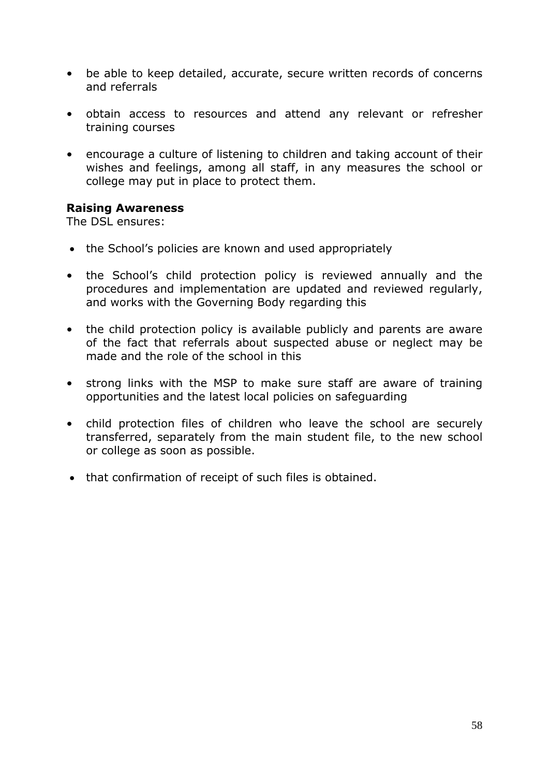- be able to keep detailed, accurate, secure written records of concerns and referrals
- obtain access to resources and attend any relevant or refresher training courses
- encourage a culture of listening to children and taking account of their wishes and feelings, among all staff, in any measures the school or college may put in place to protect them.

#### **Raising Awareness**

The DSL ensures:

- the School's policies are known and used appropriately
- the School's child protection policy is reviewed annually and the procedures and implementation are updated and reviewed regularly, and works with the Governing Body regarding this
- the child protection policy is available publicly and parents are aware of the fact that referrals about suspected abuse or neglect may be made and the role of the school in this
- strong links with the MSP to make sure staff are aware of training opportunities and the latest local policies on safeguarding
- child protection files of children who leave the school are securely transferred, separately from the main student file, to the new school or college as soon as possible.
- that confirmation of receipt of such files is obtained.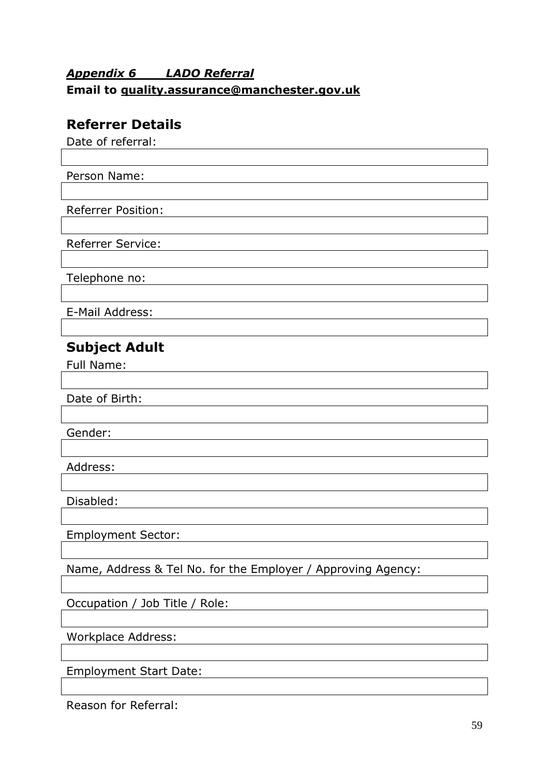# *Appendix 6 LADO Referral*  **Email to [quality.assurance@manchester.gov.uk](mailto:qualityassurance@manchester.gov.uk)**

# **Referrer Details**

Date of referral:

Person Name:

Referrer Position:

Referrer Service:

Telephone no:

E-Mail Address:

# **Subject Adult**

Full Name:

Date of Birth:

Gender:

Address:

Disabled:

Employment Sector:

Name, Address & Tel No. for the Employer / Approving Agency:

Occupation / Job Title / Role:

Workplace Address:

Employment Start Date:

Reason for Referral: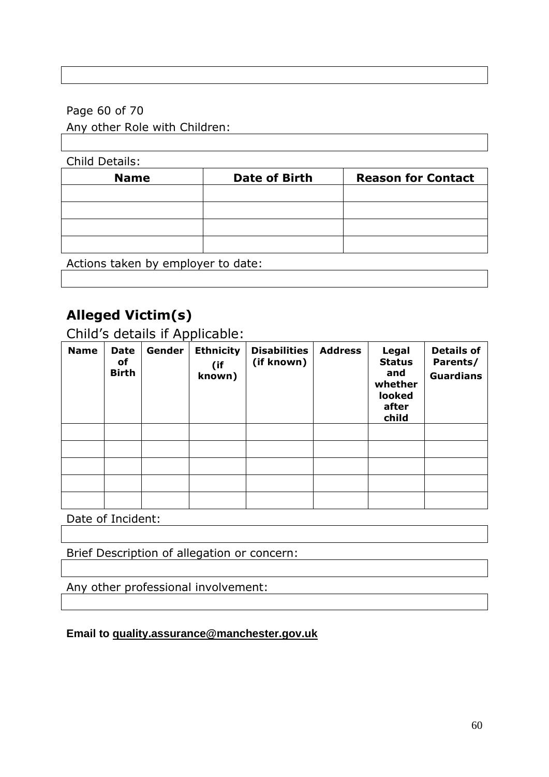## Page 60 of 70

## Any other Role with Children:

| <b>Child Details:</b> |                      |                           |
|-----------------------|----------------------|---------------------------|
| <b>Name</b>           | <b>Date of Birth</b> | <b>Reason for Contact</b> |
|                       |                      |                           |
|                       |                      |                           |
|                       |                      |                           |
|                       |                      |                           |
|                       |                      |                           |

Actions taken by employer to date:

# **Alleged Victim(s)**

Child's details if Applicable:

| <b>Name</b> | <b>Date</b><br>οf<br><b>Birth</b> | Gender | <b>Ethnicity</b><br>(if<br>known) | <b>Disabilities</b><br>(if known) | <b>Address</b> | Legal<br><b>Status</b><br>and<br>whether<br>looked<br>after<br>child | <b>Details of</b><br>Parents/<br><b>Guardians</b> |
|-------------|-----------------------------------|--------|-----------------------------------|-----------------------------------|----------------|----------------------------------------------------------------------|---------------------------------------------------|
|             |                                   |        |                                   |                                   |                |                                                                      |                                                   |
|             |                                   |        |                                   |                                   |                |                                                                      |                                                   |
|             |                                   |        |                                   |                                   |                |                                                                      |                                                   |
|             |                                   |        |                                   |                                   |                |                                                                      |                                                   |
|             |                                   |        |                                   |                                   |                |                                                                      |                                                   |

Date of Incident:

Brief Description of allegation or concern:

Any other professional involvement:

## **Email to [quality.assurance@manchester.gov.uk](mailto:qualityassurance@manchester.gov.uk)**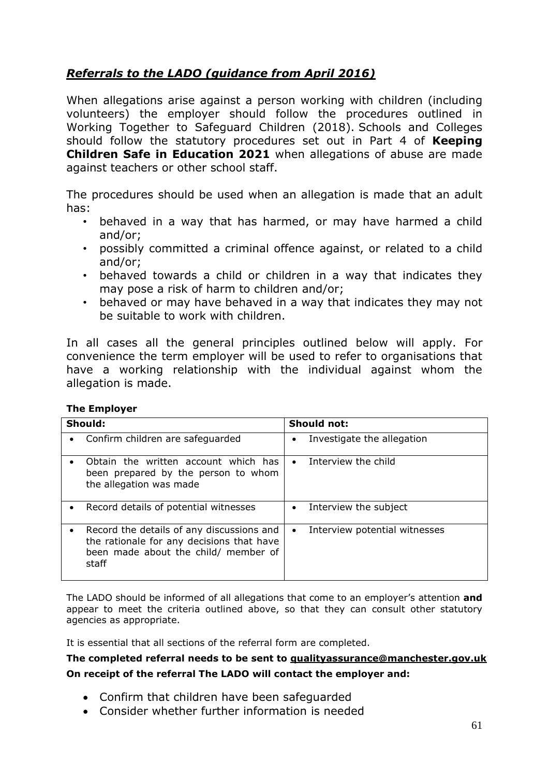## *Referrals to the LADO (guidance from April 2016)*

When allegations arise against a person working with children (including volunteers) the employer should follow the procedures outlined in Working Together to Safeguard Children (2018). Schools and Colleges should follow the statutory procedures set out in Part 4 of **Keeping Children Safe in Education 2021** when allegations of abuse are made against teachers or other school staff.

The procedures should be used when an allegation is made that an adult has:

- behaved in a way that has harmed, or may have harmed a child and/or;
- possibly committed a criminal offence against, or related to a child and/or;
- behaved towards a child or children in a way that indicates they may pose a risk of harm to children and/or;
- behaved or may have behaved in a way that indicates they may not be suitable to work with children.

In all cases all the general principles outlined below will apply. For convenience the term employer will be used to refer to organisations that have a working relationship with the individual against whom the allegation is made.

| Should:                                                                                                                                 | Should not:                                |  |
|-----------------------------------------------------------------------------------------------------------------------------------------|--------------------------------------------|--|
| Confirm children are safeguarded                                                                                                        | Investigate the allegation<br>$\bullet$    |  |
| Obtain the written account which has<br>been prepared by the person to whom<br>the allegation was made                                  | Interview the child<br>$\bullet$           |  |
| Record details of potential witnesses                                                                                                   | Interview the subject<br>$\bullet$         |  |
| Record the details of any discussions and<br>the rationale for any decisions that have<br>been made about the child/ member of<br>staff | Interview potential witnesses<br>$\bullet$ |  |

The LADO should be informed of all allegations that come to an employer's attention **and** appear to meet the criteria outlined above, so that they can consult other statutory agencies as appropriate.

It is essential that all sections of the referral form are completed.

#### **The completed referral needs to be sent to [qualityassurance@manchester.gov.uk](mailto:qualityassurance@manchester.gov.uk) On receipt of the referral The LADO will contact the employer and:**

- Confirm that children have been safeguarded
- Consider whether further information is needed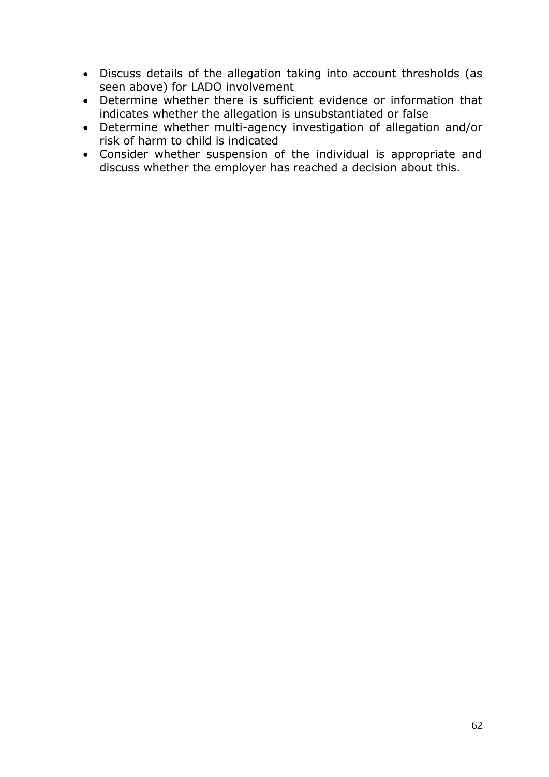- Discuss details of the allegation taking into account thresholds (as seen above) for LADO involvement
- Determine whether there is sufficient evidence or information that indicates whether the allegation is unsubstantiated or false
- Determine whether multi-agency investigation of allegation and/or risk of harm to child is indicated
- Consider whether suspension of the individual is appropriate and discuss whether the employer has reached a decision about this.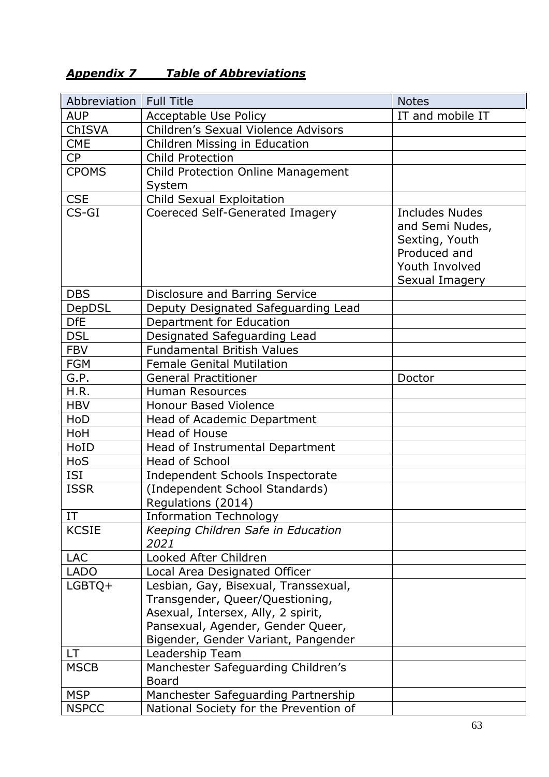# *Appendix 7 Table of Abbreviations*

| Abbreviation | <b>Full Title</b>                                                                                                                                                                         | <b>Notes</b>                                                                                            |
|--------------|-------------------------------------------------------------------------------------------------------------------------------------------------------------------------------------------|---------------------------------------------------------------------------------------------------------|
| <b>AUP</b>   | Acceptable Use Policy                                                                                                                                                                     | IT and mobile IT                                                                                        |
| ChISVA       | Children's Sexual Violence Advisors                                                                                                                                                       |                                                                                                         |
| <b>CME</b>   | Children Missing in Education                                                                                                                                                             |                                                                                                         |
| <b>CP</b>    | <b>Child Protection</b>                                                                                                                                                                   |                                                                                                         |
| <b>CPOMS</b> | Child Protection Online Management                                                                                                                                                        |                                                                                                         |
|              | System                                                                                                                                                                                    |                                                                                                         |
| <b>CSE</b>   | Child Sexual Exploitation                                                                                                                                                                 |                                                                                                         |
| $CS-GI$      | Coereced Self-Generated Imagery                                                                                                                                                           | Includes Nudes<br>and Semi Nudes,<br>Sexting, Youth<br>Produced and<br>Youth Involved<br>Sexual Imagery |
| <b>DBS</b>   | Disclosure and Barring Service                                                                                                                                                            |                                                                                                         |
| DepDSL       | Deputy Designated Safeguarding Lead                                                                                                                                                       |                                                                                                         |
| <b>DfE</b>   | Department for Education                                                                                                                                                                  |                                                                                                         |
| <b>DSL</b>   | Designated Safeguarding Lead                                                                                                                                                              |                                                                                                         |
| <b>FBV</b>   | <b>Fundamental British Values</b>                                                                                                                                                         |                                                                                                         |
| <b>FGM</b>   | <b>Female Genital Mutilation</b>                                                                                                                                                          |                                                                                                         |
| G.P.         | <b>General Practitioner</b>                                                                                                                                                               | Doctor                                                                                                  |
| H.R.         | <b>Human Resources</b>                                                                                                                                                                    |                                                                                                         |
| <b>HBV</b>   | <b>Honour Based Violence</b>                                                                                                                                                              |                                                                                                         |
| HoD          | Head of Academic Department                                                                                                                                                               |                                                                                                         |
| HoH          | Head of House                                                                                                                                                                             |                                                                                                         |
| HoID         | Head of Instrumental Department                                                                                                                                                           |                                                                                                         |
| <b>HoS</b>   | <b>Head of School</b>                                                                                                                                                                     |                                                                                                         |
| ISI          | Independent Schools Inspectorate                                                                                                                                                          |                                                                                                         |
| <b>ISSR</b>  | (Independent School Standards)<br>Regulations (2014)                                                                                                                                      |                                                                                                         |
| IT           | <b>Information Technology</b>                                                                                                                                                             |                                                                                                         |
| <b>KCSIE</b> | Keeping Children Safe in Education<br>2021                                                                                                                                                |                                                                                                         |
| <b>LAC</b>   | Looked After Children                                                                                                                                                                     |                                                                                                         |
| <b>LADO</b>  | Local Area Designated Officer                                                                                                                                                             |                                                                                                         |
| $LGBTQ+$     | Lesbian, Gay, Bisexual, Transsexual,<br>Transgender, Queer/Questioning,<br>Asexual, Intersex, Ally, 2 spirit,<br>Pansexual, Agender, Gender Queer,<br>Bigender, Gender Variant, Pangender |                                                                                                         |
| LT.          | Leadership Team                                                                                                                                                                           |                                                                                                         |
| <b>MSCB</b>  | Manchester Safeguarding Children's<br><b>Board</b>                                                                                                                                        |                                                                                                         |
| <b>MSP</b>   | Manchester Safeguarding Partnership                                                                                                                                                       |                                                                                                         |
| <b>NSPCC</b> | National Society for the Prevention of                                                                                                                                                    |                                                                                                         |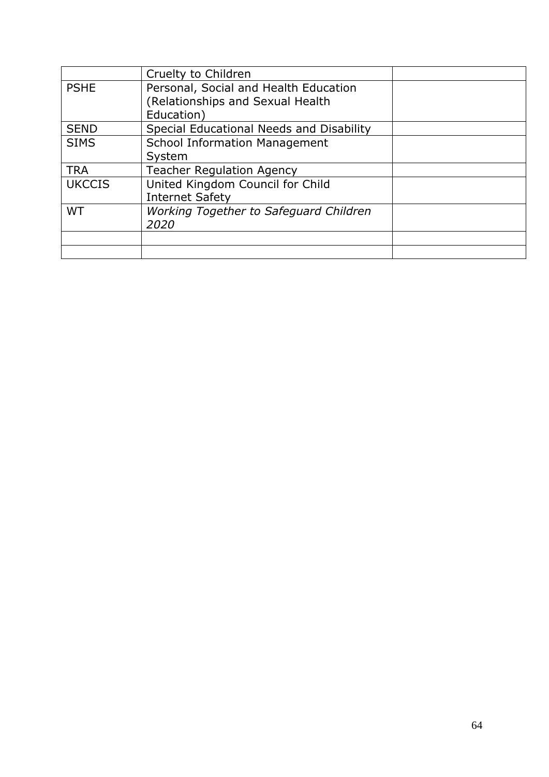|               | Cruelty to Children                      |  |
|---------------|------------------------------------------|--|
| <b>PSHE</b>   | Personal, Social and Health Education    |  |
|               | (Relationships and Sexual Health         |  |
|               | Education)                               |  |
| <b>SEND</b>   | Special Educational Needs and Disability |  |
| <b>SIMS</b>   | <b>School Information Management</b>     |  |
|               | System                                   |  |
| <b>TRA</b>    | <b>Teacher Regulation Agency</b>         |  |
| <b>UKCCIS</b> | United Kingdom Council for Child         |  |
|               | <b>Internet Safety</b>                   |  |
| <b>WT</b>     | Working Together to Safeguard Children   |  |
|               | 2020                                     |  |
|               |                                          |  |
|               |                                          |  |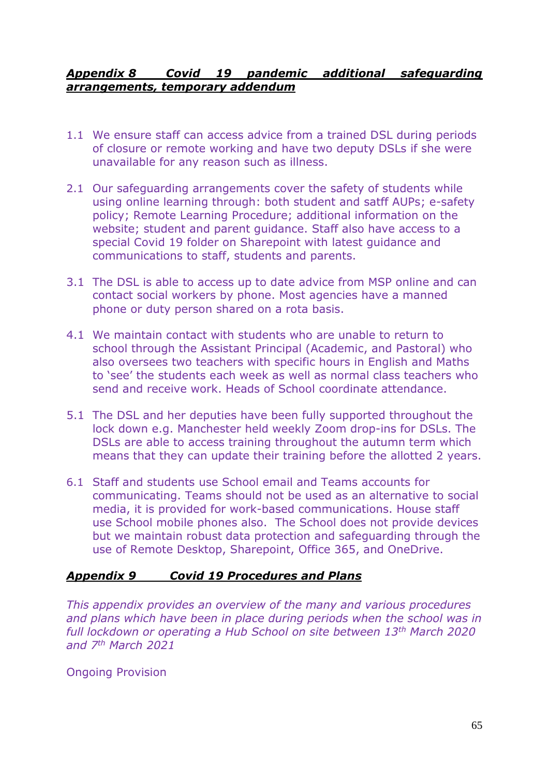### *Appendix 8 Covid 19 pandemic additional safeguarding arrangements, temporary addendum*

- 1.1 We ensure staff can access advice from a trained DSL during periods of closure or remote working and have two deputy DSLs if she were unavailable for any reason such as illness.
- 2.1 Our safeguarding arrangements cover the safety of students while using online learning through: both student and satff AUPs; e-safety policy; Remote Learning Procedure; additional information on the website; student and parent guidance. Staff also have access to a special Covid 19 folder on Sharepoint with latest guidance and communications to staff, students and parents.
- 3.1 The DSL is able to access up to date advice from MSP online and can contact social workers by phone. Most agencies have a manned phone or duty person shared on a rota basis.
- 4.1 We maintain contact with students who are unable to return to school through the Assistant Principal (Academic, and Pastoral) who also oversees two teachers with specific hours in English and Maths to 'see' the students each week as well as normal class teachers who send and receive work. Heads of School coordinate attendance.
- 5.1 The DSL and her deputies have been fully supported throughout the lock down e.g. Manchester held weekly Zoom drop-ins for DSLs. The DSLs are able to access training throughout the autumn term which means that they can update their training before the allotted 2 years.
- 6.1 Staff and students use School email and Teams accounts for communicating. Teams should not be used as an alternative to social media, it is provided for work-based communications. House staff use School mobile phones also. The School does not provide devices but we maintain robust data protection and safeguarding through the use of Remote Desktop, Sharepoint, Office 365, and OneDrive.

## *Appendix 9 Covid 19 Procedures and Plans*

*This appendix provides an overview of the many and various procedures and plans which have been in place during periods when the school was in full lockdown or operating a Hub School on site between 13th March 2020 and 7th March 2021*

Ongoing Provision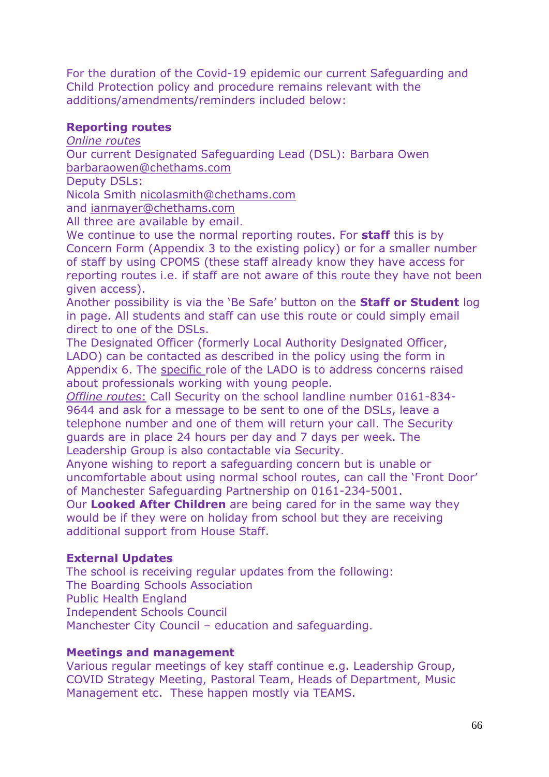For the duration of the Covid-19 epidemic our current Safeguarding and Child Protection policy and procedure remains relevant with the additions/amendments/reminders included below:

#### **Reporting routes**

*Online routes*

Our current Designated Safeguarding Lead (DSL): Barbara Owen [barbaraowen@chethams.com](mailto:barbaraowen@chethams.com) 

Deputy DSLs:

Nicola Smith [nicolasmith@chethams.com](mailto:nicolasmith@chethams.com) 

and [ianmayer@chethams.com](mailto:ianmayer@chethams.com)

All three are available by email.

We continue to use the normal reporting routes. For **staff** this is by Concern Form (Appendix 3 to the existing policy) or for a smaller number of staff by using CPOMS (these staff already know they have access for reporting routes i.e. if staff are not aware of this route they have not been given access).

Another possibility is via the 'Be Safe' button on the **Staff or Student** log in page. All students and staff can use this route or could simply email direct to one of the DSLs.

The Designated Officer (formerly Local Authority Designated Officer, LADO) can be contacted as described in the policy using the form in Appendix 6. The specific role of the LADO is to address concerns raised about professionals working with young people.

*Offline routes*: Call Security on the school landline number 0161-834- 9644 and ask for a message to be sent to one of the DSLs, leave a telephone number and one of them will return your call. The Security guards are in place 24 hours per day and 7 days per week. The Leadership Group is also contactable via Security.

Anyone wishing to report a safeguarding concern but is unable or uncomfortable about using normal school routes, can call the 'Front Door' of Manchester Safeguarding Partnership on 0161-234-5001.

Our **Looked After Children** are being cared for in the same way they would be if they were on holiday from school but they are receiving additional support from House Staff.

#### **External Updates**

The school is receiving regular updates from the following: The Boarding Schools Association Public Health England Independent Schools Council Manchester City Council – education and safeguarding.

#### **Meetings and management**

Various regular meetings of key staff continue e.g. Leadership Group, COVID Strategy Meeting, Pastoral Team, Heads of Department, Music Management etc. These happen mostly via TEAMS.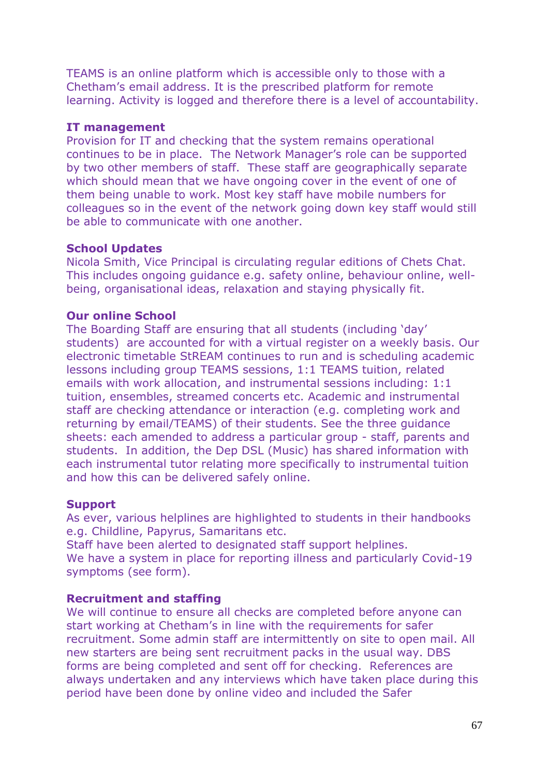TEAMS is an online platform which is accessible only to those with a Chetham's email address. It is the prescribed platform for remote learning. Activity is logged and therefore there is a level of accountability.

#### **IT management**

Provision for IT and checking that the system remains operational continues to be in place. The Network Manager's role can be supported by two other members of staff. These staff are geographically separate which should mean that we have ongoing cover in the event of one of them being unable to work. Most key staff have mobile numbers for colleagues so in the event of the network going down key staff would still be able to communicate with one another.

#### **School Updates**

Nicola Smith, Vice Principal is circulating regular editions of Chets Chat. This includes ongoing guidance e.g. safety online, behaviour online, wellbeing, organisational ideas, relaxation and staying physically fit.

### **Our online School**

The Boarding Staff are ensuring that all students (including 'day' students) are accounted for with a virtual register on a weekly basis. Our electronic timetable StREAM continues to run and is scheduling academic lessons including group TEAMS sessions, 1:1 TEAMS tuition, related emails with work allocation, and instrumental sessions including: 1:1 tuition, ensembles, streamed concerts etc. Academic and instrumental staff are checking attendance or interaction (e.g. completing work and returning by email/TEAMS) of their students. See the three guidance sheets: each amended to address a particular group - staff, parents and students. In addition, the Dep DSL (Music) has shared information with each instrumental tutor relating more specifically to instrumental tuition and how this can be delivered safely online.

#### **Support**

As ever, various helplines are highlighted to students in their handbooks e.g. Childline, Papyrus, Samaritans etc.

Staff have been alerted to designated staff support helplines.

We have a system in place for reporting illness and particularly Covid-19 symptoms (see form).

#### **Recruitment and staffing**

We will continue to ensure all checks are completed before anyone can start working at Chetham's in line with the requirements for safer recruitment. Some admin staff are intermittently on site to open mail. All new starters are being sent recruitment packs in the usual way. DBS forms are being completed and sent off for checking. References are always undertaken and any interviews which have taken place during this period have been done by online video and included the Safer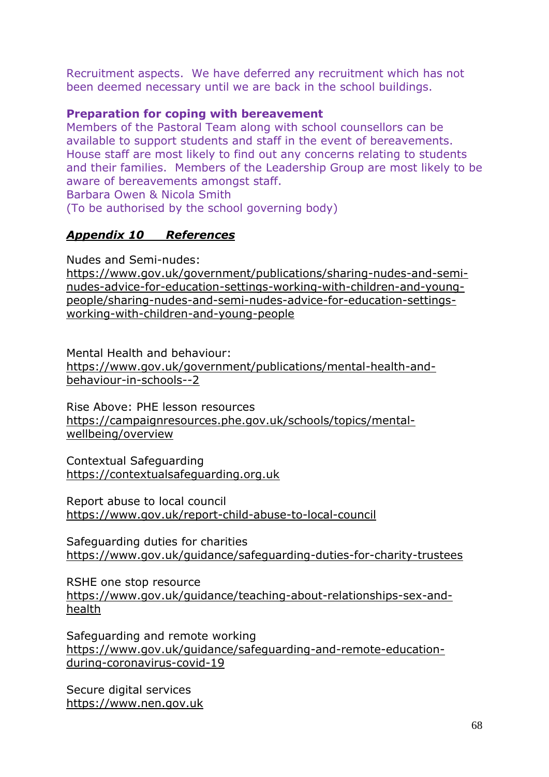Recruitment aspects. We have deferred any recruitment which has not been deemed necessary until we are back in the school buildings.

#### **Preparation for coping with bereavement**

Members of the Pastoral Team along with school counsellors can be available to support students and staff in the event of bereavements. House staff are most likely to find out any concerns relating to students and their families. Members of the Leadership Group are most likely to be aware of bereavements amongst staff.

Barbara Owen & Nicola Smith

(To be authorised by the school governing body)

### *Appendix 10 References*

Nudes and Semi-nudes:

[https://www.gov.uk/government/publications/sharing-nudes-and-semi](https://www.gov.uk/government/publications/sharing-nudes-and-semi-nudes-advice-for-education-settings-working-with-children-and-young-people/sharing-nudes-and-semi-nudes-advice-for-education-settings-working-with-children-and-young-people)[nudes-advice-for-education-settings-working-with-children-and-young](https://www.gov.uk/government/publications/sharing-nudes-and-semi-nudes-advice-for-education-settings-working-with-children-and-young-people/sharing-nudes-and-semi-nudes-advice-for-education-settings-working-with-children-and-young-people)[people/sharing-nudes-and-semi-nudes-advice-for-education-settings](https://www.gov.uk/government/publications/sharing-nudes-and-semi-nudes-advice-for-education-settings-working-with-children-and-young-people/sharing-nudes-and-semi-nudes-advice-for-education-settings-working-with-children-and-young-people)[working-with-children-and-young-people](https://www.gov.uk/government/publications/sharing-nudes-and-semi-nudes-advice-for-education-settings-working-with-children-and-young-people/sharing-nudes-and-semi-nudes-advice-for-education-settings-working-with-children-and-young-people)

Mental Health and behaviour:

[https://www.gov.uk/government/publications/mental-health-and](https://www.gov.uk/government/publications/mental-health-and-behaviour-in-schools--2)[behaviour-in-schools--2](https://www.gov.uk/government/publications/mental-health-and-behaviour-in-schools--2)

Rise Above: PHE lesson resources [https://campaignresources.phe.gov.uk/schools/topics/mental](https://campaignresources.phe.gov.uk/schools/topics/mental-wellbeing/overview)[wellbeing/overview](https://campaignresources.phe.gov.uk/schools/topics/mental-wellbeing/overview)

Contextual Safeguarding [https://contextualsafeguarding.org.uk](https://contextualsafeguarding.org.uk/)

Report abuse to local council <https://www.gov.uk/report-child-abuse-to-local-council>

Safeguarding duties for charities <https://www.gov.uk/guidance/safeguarding-duties-for-charity-trustees>

RSHE one stop resource [https://www.gov.uk/guidance/teaching-about-relationships-sex-and](https://www.gov.uk/guidance/teaching-about-relationships-sex-and-health)[health](https://www.gov.uk/guidance/teaching-about-relationships-sex-and-health)

Safeguarding and remote working [https://www.gov.uk/guidance/safeguarding-and-remote-education](https://www.gov.uk/guidance/safeguarding-and-remote-education-during-coronavirus-covid-19)[during-coronavirus-covid-19](https://www.gov.uk/guidance/safeguarding-and-remote-education-during-coronavirus-covid-19)

Secure digital services [https://www.nen.gov.uk](https://www.nen.gov.uk/)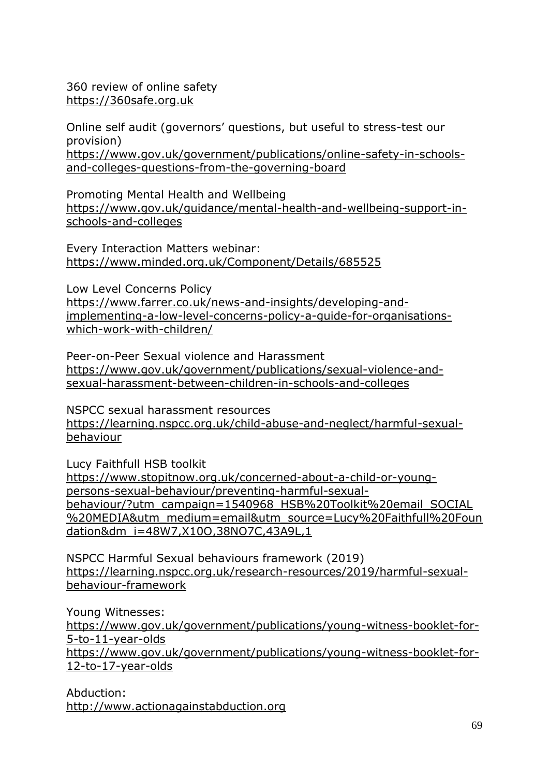360 review of online safety [https://360safe.org.uk](https://360safe.org.uk/)

Online self audit (governors' questions, but useful to stress-test our provision) [https://www.gov.uk/government/publications/online-safety-in-schools](https://www.gov.uk/government/publications/online-safety-in-schools-and-colleges-questions-from-the-governing-board)[and-colleges-questions-from-the-governing-board](https://www.gov.uk/government/publications/online-safety-in-schools-and-colleges-questions-from-the-governing-board)

Promoting Mental Health and Wellbeing [https://www.gov.uk/guidance/mental-health-and-wellbeing-support-in](https://www.gov.uk/guidance/mental-health-and-wellbeing-support-in-schools-and-colleges)[schools-and-colleges](https://www.gov.uk/guidance/mental-health-and-wellbeing-support-in-schools-and-colleges)

Every Interaction Matters webinar: <https://www.minded.org.uk/Component/Details/685525>

Low Level Concerns Policy [https://www.farrer.co.uk/news-and-insights/developing-and](https://www.farrer.co.uk/news-and-insights/developing-and-implementing-a-low-level-concerns-policy-a-guide-for-organisations-which-work-with-children/)[implementing-a-low-level-concerns-policy-a-guide-for-organisations](https://www.farrer.co.uk/news-and-insights/developing-and-implementing-a-low-level-concerns-policy-a-guide-for-organisations-which-work-with-children/)[which-work-with-children/](https://www.farrer.co.uk/news-and-insights/developing-and-implementing-a-low-level-concerns-policy-a-guide-for-organisations-which-work-with-children/)

Peer-on-Peer Sexual violence and Harassment [https://www.gov.uk/government/publications/sexual-violence-and](https://www.gov.uk/government/publications/sexual-violence-and-sexual-harassment-between-children-in-schools-and-colleges)[sexual-harassment-between-children-in-schools-and-colleges](https://www.gov.uk/government/publications/sexual-violence-and-sexual-harassment-between-children-in-schools-and-colleges)

NSPCC sexual harassment resources [https://learning.nspcc.org.uk/child-abuse-and-neglect/harmful-sexual](https://learning.nspcc.org.uk/child-abuse-and-neglect/harmful-sexual-behaviour)[behaviour](https://learning.nspcc.org.uk/child-abuse-and-neglect/harmful-sexual-behaviour)

Lucy Faithfull HSB toolkit

[https://www.stopitnow.org.uk/concerned-about-a-child-or-young](https://www.stopitnow.org.uk/concerned-about-a-child-or-young-persons-sexual-behaviour/preventing-harmful-sexual-behaviour/?utm_campaign=1540968_HSB%20Toolkit%20email_SOCIAL%20MEDIA&utm_medium=email&utm_source=Lucy%20Faithfull%20Foundation&dm_i=48W7,X10O,38NO7C,43A9L,1)[persons-sexual-behaviour/preventing-harmful-sexual](https://www.stopitnow.org.uk/concerned-about-a-child-or-young-persons-sexual-behaviour/preventing-harmful-sexual-behaviour/?utm_campaign=1540968_HSB%20Toolkit%20email_SOCIAL%20MEDIA&utm_medium=email&utm_source=Lucy%20Faithfull%20Foundation&dm_i=48W7,X10O,38NO7C,43A9L,1)[behaviour/?utm\\_campaign=1540968\\_HSB%20Toolkit%20email\\_SOCIAL](https://www.stopitnow.org.uk/concerned-about-a-child-or-young-persons-sexual-behaviour/preventing-harmful-sexual-behaviour/?utm_campaign=1540968_HSB%20Toolkit%20email_SOCIAL%20MEDIA&utm_medium=email&utm_source=Lucy%20Faithfull%20Foundation&dm_i=48W7,X10O,38NO7C,43A9L,1) [%20MEDIA&utm\\_medium=email&utm\\_source=Lucy%20Faithfull%20Foun](https://www.stopitnow.org.uk/concerned-about-a-child-or-young-persons-sexual-behaviour/preventing-harmful-sexual-behaviour/?utm_campaign=1540968_HSB%20Toolkit%20email_SOCIAL%20MEDIA&utm_medium=email&utm_source=Lucy%20Faithfull%20Foundation&dm_i=48W7,X10O,38NO7C,43A9L,1) [dation&dm\\_i=48W7,X10O,38NO7C,43A9L,1](https://www.stopitnow.org.uk/concerned-about-a-child-or-young-persons-sexual-behaviour/preventing-harmful-sexual-behaviour/?utm_campaign=1540968_HSB%20Toolkit%20email_SOCIAL%20MEDIA&utm_medium=email&utm_source=Lucy%20Faithfull%20Foundation&dm_i=48W7,X10O,38NO7C,43A9L,1)

NSPCC Harmful Sexual behaviours framework (2019) [https://learning.nspcc.org.uk/research-resources/2019/harmful-sexual](https://learning.nspcc.org.uk/research-resources/2019/harmful-sexual-behaviour-framework)[behaviour-framework](https://learning.nspcc.org.uk/research-resources/2019/harmful-sexual-behaviour-framework)

Young Witnesses: [https://www.gov.uk/government/publications/young-witness-booklet-for-](https://www.gov.uk/government/publications/young-witness-booklet-for-5-to-11-year-olds)[5-to-11-year-olds](https://www.gov.uk/government/publications/young-witness-booklet-for-5-to-11-year-olds) [https://www.gov.uk/government/publications/young-witness-booklet-for-](https://www.gov.uk/government/publications/young-witness-booklet-for-12-to-17-year-olds)[12-to-17-year-olds](https://www.gov.uk/government/publications/young-witness-booklet-for-12-to-17-year-olds)

Abduction: [http://www.actionagainstabduction.org](http://www.actionagainstabduction.org/)